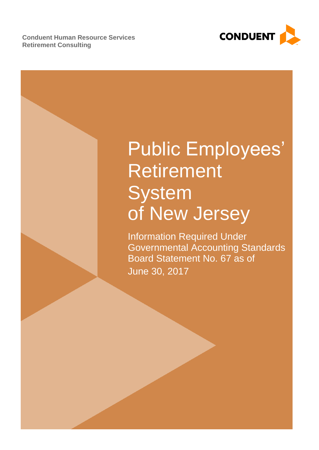**Conduent Human Resource Services Retirement Consulting**



# Public Employees' Retirement **System** of New Jersey

Information Required Under Governmental Accounting Standards Board Statement No. 67 as of June 30, 2017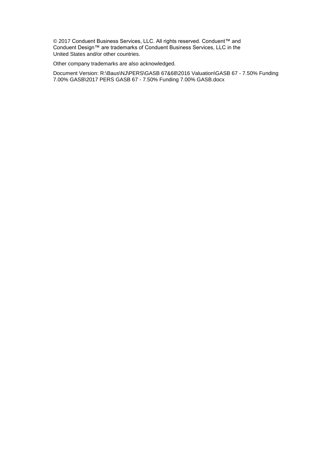© 2017 Conduent Business Services, LLC. All rights reserved. Conduent™ and Conduent Design™ are trademarks of Conduent Business Services, LLC in the United States and/or other countries.

Other company trademarks are also acknowledged.

Document Version: R:\Baus\NJ\PERS\GASB 67&68\2016 Valuation\GASB 67 - 7.50% Funding 7.00% GASB\2017 PERS GASB 67 - 7.50% Funding 7.00% GASB.docx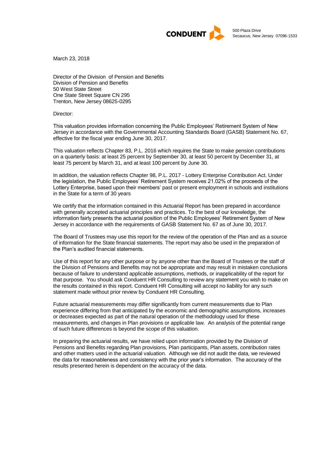

March 23, 2018

Director of the Division of Pension and Benefits Division of Pension and Benefits 50 West State Street One State Street Square CN 295 Trenton, New Jersey 08625-0295

Director:

This valuation provides information concerning the Public Employees' Retirement System of New Jersey in accordance with the Governmental Accounting Standards Board (GASB) Statement No. 67, effective for the fiscal year ending June 30, 2017.

This valuation reflects Chapter 83, P.L. 2016 which requires the State to make pension contributions on a quarterly basis: at least 25 percent by September 30, at least 50 percent by December 31, at least 75 percent by March 31, and at least 100 percent by June 30.

In addition, the valuation reflects Chapter 98, P.L. 2017 - Lottery Enterprise Contribution Act. Under the legislation, the Public Employees' Retirement System receives 21.02% of the proceeds of the Lottery Enterprise, based upon their members' past or present employment in schools and institutions in the State for a term of 30 years

We certify that the information contained in this Actuarial Report has been prepared in accordance with generally accepted actuarial principles and practices. To the best of our knowledge, the information fairly presents the actuarial position of the Public Employees' Retirement System of New Jersey in accordance with the requirements of GASB Statement No. 67 as of June 30, 2017.

The Board of Trustees may use this report for the review of the operation of the Plan and as a source of information for the State financial statements. The report may also be used in the preparation of the Plan's audited financial statements.

Use of this report for any other purpose or by anyone other than the Board of Trustees or the staff of the Division of Pensions and Benefits may not be appropriate and may result in mistaken conclusions because of failure to understand applicable assumptions, methods, or inapplicability of the report for that purpose. You should ask Conduent HR Consulting to review any statement you wish to make on the results contained in this report. Conduent HR Consulting will accept no liability for any such statement made without prior review by Conduent HR Consulting.

Future actuarial measurements may differ significantly from current measurements due to Plan experience differing from that anticipated by the economic and demographic assumptions, increases or decreases expected as part of the natural operation of the methodology used for these measurements, and changes in Plan provisions or applicable law. An analysis of the potential range of such future differences is beyond the scope of this valuation.

In preparing the actuarial results, we have relied upon information provided by the Division of Pensions and Benefits regarding Plan provisions, Plan participants, Plan assets, contribution rates and other matters used in the actuarial valuation. Although we did not audit the data, we reviewed the data for reasonableness and consistency with the prior year's information. The accuracy of the results presented herein is dependent on the accuracy of the data.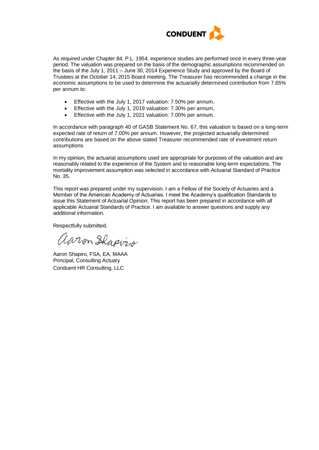

As required under Chapter 84, P.L. 1954, experience studies are performed once in every three-year period. The valuation was prepared on the basis of the demographic assumptions recommended on the basis of the July 1, 2011 – June 30, 2014 Experience Study and approved by the Board of Trustees at the October 14, 2015 Board meeting. The Treasurer has recommended a change in the economic assumptions to be used to determine the actuarially determined contribution from 7.65% per annum to:

- Effective with the July 1, 2017 valuation: 7.50% per annum,
- Effective with the July 1, 2019 valuation: 7.30% per annum,
- Effective with the July 1, 2021 valuation: 7.00% per annum.

In accordance with paragraph 40 of GASB Statement No. 67, this valuation is based on a long-term expected rate of return of 7.00% per annum. However, the projected actuarially determined contributions are based on the above stated Treasurer recommended rate of investment return assumptions.

In my opinion, the actuarial assumptions used are appropriate for purposes of the valuation and are reasonably related to the experience of the System and to reasonable long-term expectations. The mortality improvement assumption was selected in accordance with Actuarial Standard of Practice No. 35.

This report was prepared under my supervision. I am a Fellow of the Society of Actuaries and a Member of the American Academy of Actuaries. I meet the Academy's qualification Standards to issue this Statement of Actuarial Opinion. This report has been prepared in accordance with all applicable Actuarial Standards of Practice. I am available to answer questions and supply any additional information.

Respectfully submitted,

aaron Shapvis

Aaron Shapiro, FSA, EA, MAAA Principal, Consulting Actuary Conduent HR Consulting, LLC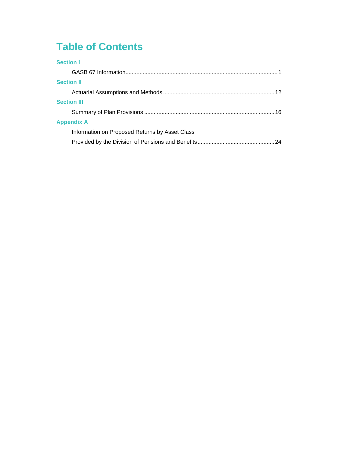## **Table of Contents**

| 24 |
|----|
|    |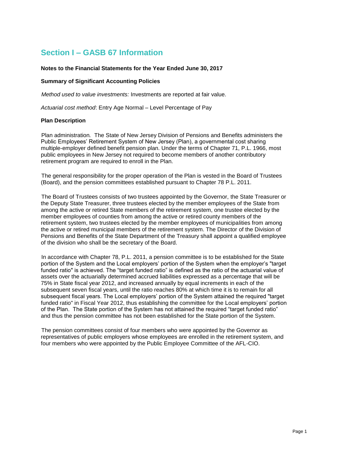## **Section I – GASB 67 Information**

#### **Notes to the Financial Statements for the Year Ended June 30, 2017**

#### **Summary of Significant Accounting Policies**

*Method used to value investments:* Investments are reported at fair value.

*Actuarial cost method*: Entry Age Normal – Level Percentage of Pay

#### **Plan Description**

Plan administration*.* The State of New Jersey Division of Pensions and Benefits administers the Public Employees' Retirement System of New Jersey (Plan), a governmental cost sharing multiple-employer defined benefit pension plan. Under the terms of Chapter 71, P.L. 1966, most public employees in New Jersey not required to become members of another contributory retirement program are required to enroll in the Plan.

The general responsibility for the proper operation of the Plan is vested in the Board of Trustees (Board), and the pension committees established pursuant to Chapter 78 P.L. 2011.

The Board of Trustees consists of two trustees appointed by the Governor, the State Treasurer or the Deputy State Treasurer, three trustees elected by the member employees of the State from among the active or retired State members of the retirement system, one trustee elected by the member employees of counties from among the active or retired county members of the retirement system, two trustees elected by the member employees of municipalities from among the active or retired municipal members of the retirement system. The Director of the Division of Pensions and Benefits of the State Department of the Treasury shall appoint a qualified employee of the division who shall be the secretary of the Board.

In accordance with Chapter 78, P.L. 2011, a pension committee is to be established for the State portion of the System and the Local employers' portion of the System when the employer's "target funded ratio" is achieved. The "target funded ratio" is defined as the ratio of the actuarial value of assets over the actuarially determined accrued liabilities expressed as a percentage that will be 75% in State fiscal year 2012, and increased annually by equal increments in each of the subsequent seven fiscal years, until the ratio reaches 80% at which time it is to remain for all subsequent fiscal years. The Local employers' portion of the System attained the required "target funded ratio" in Fiscal Year 2012, thus establishing the committee for the Local employers' portion of the Plan. The State portion of the System has not attained the required "target funded ratio" and thus the pension committee has not been established for the State portion of the System.

The pension committees consist of four members who were appointed by the Governor as representatives of public employers whose employees are enrolled in the retirement system, and four members who were appointed by the Public Employee Committee of the AFL-CIO.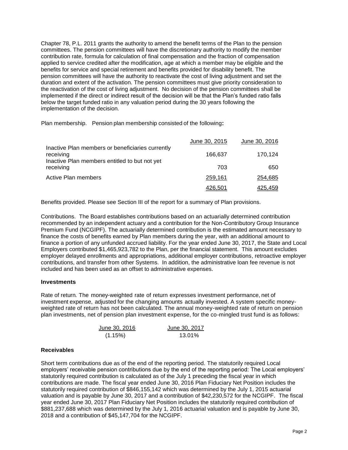Chapter 78, P.L. 2011 grants the authority to amend the benefit terms of the Plan to the pension committees. The pension committees will have the discretionary authority to modify the member contribution rate, formula for calculation of final compensation and the fraction of compensation applied to service credited after the modification, age at which a member may be eligible and the benefits for service and special retirement and benefits provided for disability benefit. The pension committees will have the authority to reactivate the cost of living adjustment and set the duration and extent of the activation. The pension committees must give priority consideration to the reactivation of the cost of living adjustment. No decision of the pension committees shall be implemented if the direct or indirect result of the decision will be that the Plan's funded ratio falls below the target funded ratio in any valuation period during the 30 years following the implementation of the decision.

Plan membership.Pension plan membership consisted of the following:

|                                                                                                                | June 30, 2015  | June 30, 2016 |
|----------------------------------------------------------------------------------------------------------------|----------------|---------------|
| Inactive Plan members or beneficiaries currently<br>receiving<br>Inactive Plan members entitled to but not yet | 166,637        | 170,124       |
| receiving                                                                                                      | 703            | 650           |
| Active Plan members                                                                                            | 259,161        | 254,685       |
|                                                                                                                | <u>426,501</u> | 425,459       |

Benefits provided. Please see Section III of the report for a summary of Plan provisions.

Contributions. The Board establishes contributions based on an actuarially determined contribution recommended by an independent actuary and a contribution for the Non-Contributory Group Insurance Premium Fund (NCGIPF). The actuarially determined contribution is the estimated amount necessary to finance the costs of benefits earned by Plan members during the year, with an additional amount to finance a portion of any unfunded accrued liability. For the year ended June 30, 2017, the State and Local Employers contributed \$1,465,923,782 to the Plan, per the financial statement. This amount excludes employer delayed enrollments and appropriations, additional employer contributions, retroactive employer contributions, and transfer from other Systems. In addition, the administrative loan fee revenue is not included and has been used as an offset to administrative expenses.

#### **Investments**

Rate of return*.* The money-weighted rate of return expresses investment performance, net of investment expense, adjusted for the changing amounts actually invested. A system specific moneyweighted rate of return has not been calculated. The annual money-weighted rate of return on pension plan investments, net of pension plan investment expense, for the co-mingled trust fund is as follows:

| June 30, 2016 | June 30, 2017 |
|---------------|---------------|
| (1.15%)       | 13.01%        |

#### **Receivables**

Short term contributions due as of the end of the reporting period. The statutorily required Local employers' receivable pension contributions due by the end of the reporting period: The Local employers' statutorily required contribution is calculated as of the July 1 preceding the fiscal year in which contributions are made. The fiscal year ended June 30, 2016 Plan Fiduciary Net Position includes the statutorily required contribution of \$846,155,142 which was determined by the July 1, 2015 actuarial valuation and is payable by June 30, 2017 and a contribution of \$42,230,572 for the NCGIPF. The fiscal year ended June 30, 2017 Plan Fiduciary Net Position includes the statutorily required contribution of \$881,237,688 which was determined by the July 1, 2016 actuarial valuation and is payable by June 30, 2018 and a contribution of \$45,147,704 for the NCGIPF.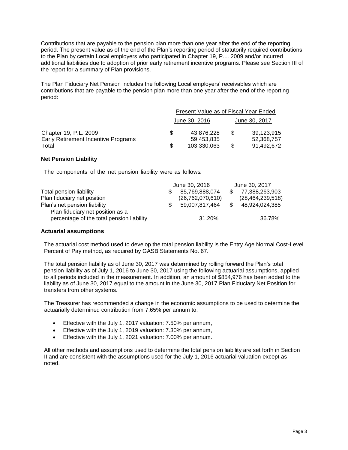Contributions that are payable to the pension plan more than one year after the end of the reporting period. The present value as of the end of the Plan's reporting period of statutorily required contributions to the Plan by certain Local employers who participated in Chapter 19, P.L. 2009 and/or incurred additional liabilities due to adoption of prior early retirement incentive programs. Please see Section III of the report for a summary of Plan provisions.

The Plan Fiduciary Net Pension includes the following Local employers' receivables which are contributions that are payable to the pension plan more than one year after the end of the reporting period:

|                                     | Present Value as of Fiscal Year Ended |               |     |               |  |  |
|-------------------------------------|---------------------------------------|---------------|-----|---------------|--|--|
|                                     |                                       | June 30, 2016 |     | June 30, 2017 |  |  |
| Chapter 19, P.L. 2009               | £.                                    | 43.876.228    | \$. | 39,123,915    |  |  |
| Early Retirement Incentive Programs |                                       | 59.453.835    |     | 52,368,757    |  |  |
| Total                               | S                                     | 103.330.063   | \$. | 91.492.672    |  |  |

#### **Net Pension Liability**

The components of the net pension liability were as follows:

|                                                                               | June 30, 2016       |      | June 30, 2017       |
|-------------------------------------------------------------------------------|---------------------|------|---------------------|
| Total pension liability                                                       | 85,769,888,074      |      | 77,388,263,903      |
| Plan fiduciary net position                                                   | (26, 762, 070, 610) |      | (28, 464, 239, 518) |
| Plan's net pension liability                                                  | 59,007,817,464      | - \$ | 48,924,024,385      |
| Plan fiduciary net position as a<br>percentage of the total pension liability | 31.20%              |      | 36.78%              |

#### **Actuarial assumptions**

The actuarial cost method used to develop the total pension liability is the Entry Age Normal Cost-Level Percent of Pay method, as required by GASB Statements No. 67.

The total pension liability as of June 30, 2017 was determined by rolling forward the Plan's total pension liability as of July 1, 2016 to June 30, 2017 using the following actuarial assumptions, applied to all periods included in the measurement. In addition, an amount of \$854,976 has been added to the liability as of June 30, 2017 equal to the amount in the June 30, 2017 Plan Fiduciary Net Position for transfers from other systems.

The Treasurer has recommended a change in the economic assumptions to be used to determine the actuarially determined contribution from 7.65% per annum to:

- Effective with the July 1, 2017 valuation: 7.50% per annum,
- Effective with the July 1, 2019 valuation: 7.30% per annum,
- Effective with the July 1, 2021 valuation: 7.00% per annum.

All other methods and assumptions used to determine the total pension liability are set forth in Section II and are consistent with the assumptions used for the July 1, 2016 actuarial valuation except as noted.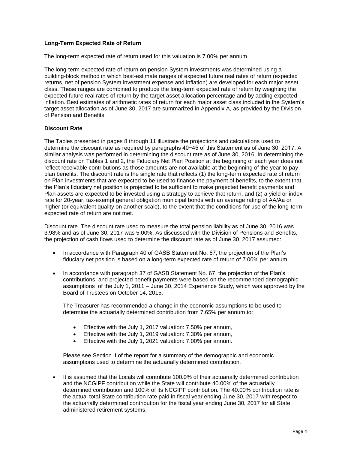#### **Long-Term Expected Rate of Return**

The long-term expected rate of return used for this valuation is 7.00% per annum.

The long-term expected rate of return on pension System investments was determined using a building-block method in which best-estimate ranges of expected future real rates of return (expected returns, net of pension System investment expense and inflation) are developed for each major asset class. These ranges are combined to produce the long-term expected rate of return by weighting the expected future real rates of return by the target asset allocation percentage and by adding expected inflation. Best estimates of arithmetic rates of return for each major asset class included in the System's target asset allocation as of June 30, 2017 are summarized in Appendix A, as provided by the Division of Pension and Benefits.

#### **Discount Rate**

The Tables presented in pages 8 through 11 illustrate the projections and calculations used to determine the discount rate as required by paragraphs 40−45 of this Statement as of June 30, 2017. A similar analysis was performed in determining the discount rate as of June 30, 2016. In determining the discount rate on Tables 1 and 2, the Fiduciary Net Plan Position at the beginning of each year does not reflect receivable contributions as those amounts are not available at the beginning of the year to pay plan benefits. The discount rate is the single rate that reflects (1) the long-term expected rate of return on Plan investments that are expected to be used to finance the payment of benefits, to the extent that the Plan's fiduciary net position is projected to be sufficient to make projected benefit payments and Plan assets are expected to be invested using a strategy to achieve that return, and (2) a yield or index rate for 20-year, tax-exempt general obligation municipal bonds with an average rating of AA/Aa or higher (or equivalent quality on another scale), to the extent that the conditions for use of the long-term expected rate of return are not met.

Discount rate. The discount rate used to measure the total pension liability as of June 30, 2016 was 3.98% and as of June 30, 2017 was 5.00%. As discussed with the Division of Pensions and Benefits, the projection of cash flows used to determine the discount rate as of June 30, 2017 assumed:

- In accordance with Paragraph 40 of GASB Statement No. 67, the projection of the Plan's fiduciary net position is based on a long-term expected rate of return of 7.00% per annum.
- In accordance with paragraph 37 of GASB Statement No. 67, the projection of the Plan's contributions, and projected benefit payments were based on the recommended demographic assumptions of the July 1, 2011 – June 30, 2014 Experience Study, which was approved by the Board of Trustees on October 14, 2015.

The Treasurer has recommended a change in the economic assumptions to be used to determine the actuarially determined contribution from 7.65% per annum to:

- Effective with the July 1, 2017 valuation: 7.50% per annum,
- Effective with the July 1, 2019 valuation: 7.30% per annum,
- Effective with the July 1, 2021 valuation: 7.00% per annum.

Please see Section II of the report for a summary of the demographic and economic assumptions used to determine the actuarially determined contribution.

• It is assumed that the Locals will contribute 100.0% of their actuarially determined contribution and the NCGIPF contribution while the State will contribute 40.00% of the actuarially determined contribution and 100% of its NCGIPF contribution. The 40.00% contribution rate is the actual total State contribution rate paid in fiscal year ending June 30, 2017 with respect to the actuarially determined contribution for the fiscal year ending June 30, 2017 for all State administered retirement systems.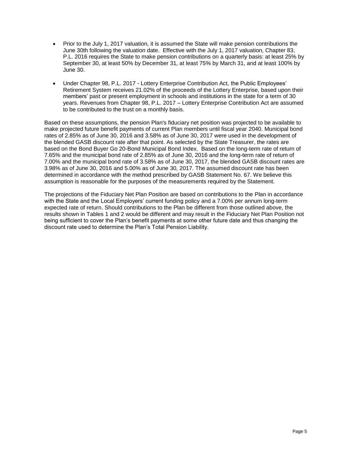- Prior to the July 1, 2017 valuation, it is assumed the State will make pension contributions the June 30th following the valuation date. Effective with the July 1, 2017 valuation, Chapter 83, P.L. 2016 requires the State to make pension contributions on a quarterly basis: at least 25% by September 30, at least 50% by December 31, at least 75% by March 31, and at least 100% by June 30.
- Under Chapter 98, P.L. 2017 Lottery Enterprise Contribution Act, the Public Employees' Retirement System receives 21.02% of the proceeds of the Lottery Enterprise, based upon their members' past or present employment in schools and institutions in the state for a term of 30 years. Revenues from Chapter 98, P.L. 2017 – Lottery Enterprise Contribution Act are assumed to be contributed to the trust on a monthly basis.

Based on these assumptions, the pension Plan's fiduciary net position was projected to be available to make projected future benefit payments of current Plan members until fiscal year 2040. Municipal bond rates of 2.85% as of June 30, 2016 and 3.58% as of June 30, 2017 were used in the development of the blended GASB discount rate after that point. As selected by the State Treasurer, the rates are based on the Bond Buyer Go 20-Bond Municipal Bond Index. Based on the long-term rate of return of 7.65% and the municipal bond rate of 2.85% as of June 30, 2016 and the long-term rate of return of 7.00% and the municipal bond rate of 3.58% as of June 30, 2017, the blended GASB discount rates are 3.98% as of June 30, 2016 and 5.00% as of June 30, 2017. The assumed discount rate has been determined in accordance with the method prescribed by GASB Statement No. 67. We believe this assumption is reasonable for the purposes of the measurements required by the Statement.

The projections of the Fiduciary Net Plan Position are based on contributions to the Plan in accordance with the State and the Local Employers' current funding policy and a 7.00% per annum long-term expected rate of return. Should contributions to the Plan be different from those outlined above, the results shown in Tables 1 and 2 would be different and may result in the Fiduciary Net Plan Position not being sufficient to cover the Plan's benefit payments at some other future date and thus changing the discount rate used to determine the Plan's Total Pension Liability.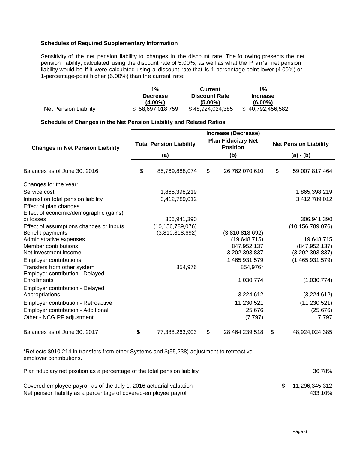#### **Schedules of Required Supplementary Information**

Sensitivity of the net pension liability to changes in the discount rate. The following presents the net pension liability, calculated using the discount rate of 5.00%, as well as what the Plan's net pension liability would be if it were calculated using a discount rate that is 1-percentage-point lower (4.00%) or 1-percentage-point higher (6.00%) than the current rate:

|                       | $1\%$            | <b>Current</b>       |                  |  |
|-----------------------|------------------|----------------------|------------------|--|
|                       | <b>Decrease</b>  | <b>Discount Rate</b> | <b>Increase</b>  |  |
|                       | (4.00%)          | $(5.00\%)$           | $(6.00\%)$       |  |
| Net Pension Liability | \$58,697,018,759 | \$48,924,024,385     | \$40,792,456,582 |  |

#### **Schedule of Changes in the Net Pension Liability and Related Ratios**

|                                                |    |                                | Increase (Decrease)                          |                              |                     |  |
|------------------------------------------------|----|--------------------------------|----------------------------------------------|------------------------------|---------------------|--|
| <b>Changes in Net Pension Liability</b>        |    | <b>Total Pension Liability</b> | <b>Plan Fiduciary Net</b><br><b>Position</b> | <b>Net Pension Liability</b> |                     |  |
|                                                |    | (a)                            | (b)                                          |                              | (a) - (b)           |  |
| Balances as of June 30, 2016                   | \$ | 85,769,888,074                 | \$<br>26,762,070,610                         | \$                           | 59,007,817,464      |  |
| Changes for the year:                          |    |                                |                                              |                              |                     |  |
| Service cost                                   |    | 1,865,398,219                  |                                              |                              | 1,865,398,219       |  |
| Interest on total pension liability            |    | 3,412,789,012                  |                                              |                              | 3,412,789,012       |  |
| Effect of plan changes                         |    |                                |                                              |                              |                     |  |
| Effect of economic/demographic (gains)         |    |                                |                                              |                              |                     |  |
| or losses                                      |    | 306,941,390                    |                                              |                              | 306,941,390         |  |
| Effect of assumptions changes or inputs        |    | (10, 156, 789, 076)            |                                              |                              | (10, 156, 789, 076) |  |
| Benefit payments                               |    | (3,810,818,692)                | (3,810,818,692)                              |                              |                     |  |
| Administrative expenses                        |    |                                | (19,648,715)                                 |                              | 19,648,715          |  |
| Member contributions                           |    |                                | 847,952,137                                  |                              | (847, 952, 137)     |  |
| Net investment income                          |    |                                | 3,202,393,837                                |                              | (3,202,393,837)     |  |
| <b>Employer contributions</b>                  |    |                                | 1,465,931,579                                |                              | (1,465,931,579)     |  |
| Transfers from other system                    |    | 854,976                        | 854,976*                                     |                              |                     |  |
| Employer contribution - Delayed<br>Enrollments |    |                                | 1,030,774                                    |                              | (1,030,774)         |  |
| <b>Employer contribution - Delayed</b>         |    |                                |                                              |                              |                     |  |
| Appropriations                                 |    |                                | 3,224,612                                    |                              | (3,224,612)         |  |
| <b>Employer contribution - Retroactive</b>     |    |                                | 11,230,521                                   |                              | (11, 230, 521)      |  |
| Employer contribution - Additional             |    |                                | 25,676                                       |                              | (25, 676)           |  |
| Other - NCGIPF adjustment                      |    |                                | (7, 797)                                     |                              | 7,797               |  |
| Balances as of June 30, 2017                   | \$ | 77,388,263,903                 | \$<br>28,464,239,518                         | \$                           | 48,924,024,385      |  |

\*Reflects \$910,214 in transfers from other Systems and \$(55,238) adjustment to retroactive employer contributions.

| Plan fiduciary net position as a percentage of the total pension liability                                                               |  |                              |  |  |
|------------------------------------------------------------------------------------------------------------------------------------------|--|------------------------------|--|--|
| Covered-employee payroll as of the July 1, 2016 actuarial valuation<br>Net pension liability as a percentage of covered-employee payroll |  | \$ 11.296.345.312<br>433.10% |  |  |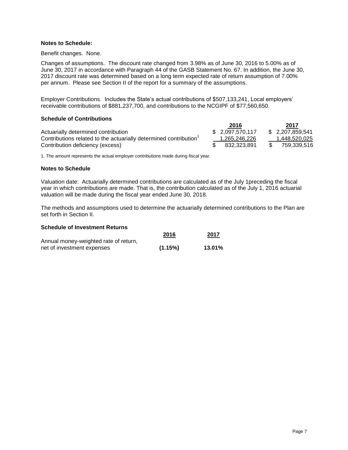#### **Notes to Schedule:**

Benefit changes*.* None.

Changes of assumptions. The discount rate changed from 3.98% as of June 30, 2016 to 5.00% as of June 30, 2017 in accordance with Paragraph 44 of the GASB Statement No. 67. In addition, the June 30, 2017 discount rate was determined based on a long term expected rate of return assumption of 7.00% per annum. Please see Section II of the report for a summary of the assumptions.

Employer Contributions*.* Includes the State's actual contributions of \$507,133,241, Local employers' receivable contributions of \$881,237,700, and contributions to the NCGIPF of \$77,560,650.

#### **Schedule of Contributions**

|                                                                  | 2016             | 2017             |
|------------------------------------------------------------------|------------------|------------------|
| Actuarially determined contribution                              | \$ 2.097.570.117 | \$ 2,207,859,541 |
| Contributions related to the actuarially determined contribution | 1.265.246.226    | 1.448.520.025    |
| Contribution deficiency (excess)                                 | 832.323.891      | 759,339,516      |

1. The amount represents the actual employer contributions made during fiscal year.

#### **Notes to Schedule**

Valuation date: Actuarially determined contributions are calculated as of the July 1preceding the fiscal year in which contributions are made. That is, the contribution calculated as of the July 1, 2016 actuarial valuation will be made during the fiscal year ended June 30, 2018.

The methods and assumptions used to determine the actuarially determined contributions to the Plan are set forth in Section II.

#### **Schedule of Investment Returns**

|                                       | 2016    | 2017   |
|---------------------------------------|---------|--------|
| Annual money-weighted rate of return, |         |        |
| net of investment expenses            | (1.15%) | 13.01% |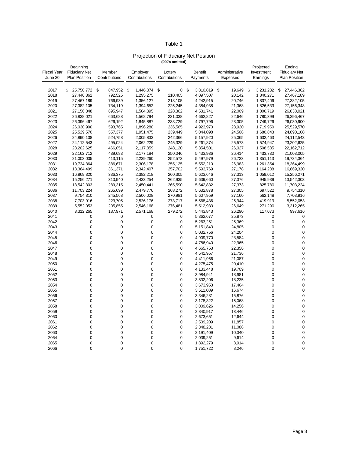#### Table 1

#### Projection of Fiduciary Net Position **(000's omitted)**

|                    | Beginning            |                |                 |               |                 |                 | Projected       | Ending               |
|--------------------|----------------------|----------------|-----------------|---------------|-----------------|-----------------|-----------------|----------------------|
| <b>Fiscal Year</b> | <b>Fiduciary Net</b> | Member         | Employer        | Lottery       | <b>Benefit</b>  | Administrative  | Investment      | <b>Fiduciary Net</b> |
| June 30            | <b>Plan Position</b> | Contributions  | Contributions   | Contributions | Payments        | <b>Expenses</b> | Earnings        | <b>Plan Position</b> |
|                    |                      |                |                 |               |                 |                 |                 |                      |
| 2017               | \$<br>25,750,772     | \$<br>847,952  | \$<br>1,446,874 | \$<br>0       | \$<br>3,810,819 | \$<br>19,649    | \$<br>3,231,232 | \$<br>27,446,362     |
| 2018               | 27,446,362           | 792,525        | 1,295,275       | 210,405       | 4,097,507       | 20,142          | 1,840,271       | 27,467,189           |
| 2019               | 27,467,189           | 766,939        | 1,356,127       | 218,105       | 4,242,915       | 20,746          | 1,837,406       | 27,382,105           |
| 2020               | 27,382,105           | 734,119        | 1,394,652       | 225,245       | 4,384,938       | 21,368          | 1,826,533       | 27,156,348           |
| 2021               | 27,156,348           | 695,947        | 1,504,395       | 228,362       | 4,531,741       | 22,009          | 1,806,719       | 26,838,021           |
| 2022               | 26,838,021           | 663,688        | 1,568,794       | 231,038       | 4,662,827       | 22,646          | 1,780,399       | 26,396,467           |
| 2023               | 26,396,467           | 626,192        | 1,845,887       | 233,729       | 4,797,796       | 23,305          | 1,749,726       | 26,030,900           |
| 2024               | 26,030,900           | 593,765        | 1,896,280       | 236,565       | 4,923,970       | 23,920          | 1,719,950       | 25,529,570           |
| 2025               | 25,529,570           | 557,377        | 1,951,475       | 239,449       | 5,044,098       | 24,508          | 1,680,843       | 24,890,108           |
| 2026               | 24,890,108           | 524,758        | 2,005,833       | 242,366       | 5,157,920       | 25,065          | 1,632,463       | 24,112,543           |
| 2027               | 24,112,543           | 495,024        | 2,062,229       | 245,329       | 5,261,874       | 25,573          | 1,574,947       | 23,202,625           |
| 2028               | 23,202,625           | 466,051        | 2,117,859       | 248,120       | 5,354,501       | 26,027          | 1,508,585       | 22,162,712           |
| 2029               | 22,162,712           | 439,683        | 2,177,184       | 250,046       | 5,433,936       | 26,414          | 1,433,730       | 21,003,005           |
| 2030               | 21,003,005           | 413,115        | 2,239,260       | 252,573       | 5,497,979       | 26,723          | 1,351,113       | 19,734,364           |
| 2031               | 19,734,364           | 386,671        | 2,306,178       | 255,125       | 5,552,210       | 26,983          | 1,261,354       | 18,364,499           |
| 2032               | 18,364,499           | 361,371        | 2,342,407       | 257,702       | 5,593,769       | 27,178          | 1,164,288       | 16,869,320           |
| 2033               | 16,869,320           | 336,375        | 2,382,218       | 260,305       | 5,623,646       | 27,313          | 1,059,012       | 15,256,271           |
| 2034               | 15,256,271           | 310,940        | 2,433,254       | 262,935       | 5,639,660       | 27,376          | 945,939         | 13,542,303           |
| 2035               | 13,542,303           | 289,315        | 2,450,441       | 265,590       | 5,642,832       | 27,373          | 825,780         | 11,703,224           |
| 2036               | 11,703,224           | 265,699        | 2,479,776       | 268,272       | 5,632,878       | 27,305          | 697,522         | 9,754,310            |
| 2037               | 9,754,310            | 245,568        | 2,506,028       | 270,981       | 5,607,959       | 27,160          | 562,148         | 7,703,916            |
| 2038               | 7,703,916            | 223,705        | 2,526,176       | 273,717       | 5,568,436       | 26,944          | 419,919         | 5,552,053            |
| 2039               | 5,552,053            | 205,855        | 2,546,168       | 276,481       | 5,512,933       | 26,649          | 271,290         | 3,312,265            |
| 2040               | 3,312,265            | 187,971        | 2,571,168       | 279,272       | 5,443,843       | 26,290          | 117,073         | 997,616              |
| 2041               | 0                    | 0              | 0               | 0             | 5,362,677       | 25,873          | 0               | 0                    |
| 2042               | 0                    | $\mathbf 0$    | 0               | 0             | 5,263,251       | 25,369          | 0               | $\mathbf 0$          |
| 2043               | 0                    | 0              | 0               | 0             | 5,151,843       | 24,805          | 0               | $\mathbf 0$          |
| 2044               | 0                    | $\overline{0}$ | $\overline{0}$  | $\mathbf 0$   | 5,032,756       | 24,204          | 0               | $\mathbf 0$          |
| 2045               | 0                    | 0              | 0               | 0             | 4,909,770       | 23,584          | 0               | $\mathbf 0$          |
| 2046               | 0                    | 0              | 0               | $\mathbf 0$   | 4,786,940       | 22,965          | 0               | $\mathbf 0$          |
| 2047               | 0                    | 0              | 0               | 0             | 4,665,753       | 22,356          | 0               | $\mathbf 0$          |
| 2048               | 0                    | 0              | 0               | 0             | 4,541,957       | 21,736          | 0               | $\mathbf 0$          |
| 2049               | 0                    | 0              | 0               | 0             | 4,411,966       | 21,087          | 0               | $\mathbf 0$          |
| 2050               | 0                    | 0              | 0               | 0             | 4,275,475       | 20,410          | 0               | $\mathbf 0$          |
| 2051               | 0                    | 0              | 0               | 0             | 4,133,448       | 19,709          | 0               | $\mathbf 0$          |
| 2052               | 0                    | 0              | 0               | 0             | 3,984,941       | 18,981          | 0               | $\mathbf 0$          |
| 2053               | 0                    | 0              | 0               | 0             | 3,832,206       | 18,235          | 0               | $\mathbf 0$          |
| 2054               | 0                    | 0              | 0               | 0             | 3,673,953       | 17,464          | 0               | $\mathbf 0$          |
| 2055               | 0                    | $\overline{0}$ | 0               | 0             | 3,511,089       | 16,674          | 0               | $\mathbf 0$          |
| 2056               | 0                    | 0              | 0               | 0             | 3,346,281       | 15,876          | 0               | $\mathbf 0$          |
| 2057               | 0                    | 0              | 0               | $\mathbf 0$   | 3,178,322       | 15,068          | 0               | $\mathbf 0$          |
| 2058               | 0                    | 0              | 0               | 0             | 3,009,626       | 14,256          | 0               | $\mathbf 0$          |
| 2059               | 0                    | 0              | 0               | 0             | 2,840,917       | 13,446          | 0               | $\mathbf 0$          |
| 2060               | 0                    | 0              | 0               | 0             | 2,673,651       | 12,644          | 0               | $\mathbf 0$          |
| 2061               | 0                    | $\overline{0}$ | 0               | $\mathbf 0$   | 2,509,209       | 11,857          | 0               | $\mathbf 0$          |
| 2062               | 0                    | 0              | 0               | 0             | 2,348,231       | 11,088          | 0               | $\mathbf 0$          |
| 2063               | 0                    | $\mathbf 0$    | $\overline{0}$  | 0             | 2,191,409       | 10,340          | 0               | $\mathbf 0$          |
| 2064               | 0                    | 0              | 0               | 0             | 2,039,251       | 9,614           | 0               | 0                    |
| 2065               | 0                    | $\Omega$       | 0               | 0             | 1,892,279       | 8,914           | 0               | $\mathbf 0$          |
| 2066               | $\Omega$             | $\Omega$       | $\Omega$        | $\mathbf 0$   | 1,751,722       | 8,246           | $\Omega$        | $\mathbf 0$          |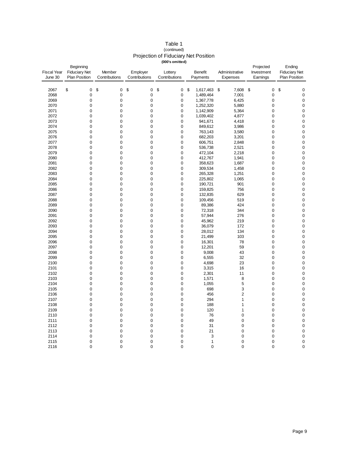|                    |                      |                            |               | (000's omitted)            |                      |                        |                |                      |                          |
|--------------------|----------------------|----------------------------|---------------|----------------------------|----------------------|------------------------|----------------|----------------------|--------------------------|
|                    | Beginning            |                            |               |                            |                      |                        |                | Projected            | Ending                   |
| <b>Fiscal Year</b> | <b>Fiduciary Net</b> | Member                     | Employer      | Lottery                    |                      | <b>Benefit</b>         | Administrative | Investment           | <b>Fiduciary Net</b>     |
| June 30            | <b>Plan Position</b> | Contributions              | Contributions | Contributions              | Payments<br>Expenses |                        | Earnings       | <b>Plan Position</b> |                          |
|                    |                      |                            |               |                            |                      |                        |                |                      |                          |
| 2067               | \$<br>$\pmb{0}$      | \$<br>$\pmb{0}$            | \$<br>0       | \$<br>$\pmb{0}$            | \$                   | 1,617,463              | 7,608<br>\$    | \$<br>0              | \$<br>$\pmb{0}$          |
| 2068               | 0                    | $\mathbf 0$                | 0             | $\mathbf 0$                |                      | 1,489,464              | 7,001          | 0                    | $\pmb{0}$                |
|                    |                      |                            |               |                            |                      |                        |                |                      | $\pmb{0}$                |
| 2069<br>2070       | $\mathbf 0$<br>0     | $\mathbf 0$<br>$\mathbf 0$ | 0<br>0        | 0<br>$\mathbf 0$           |                      | 1,367,778              | 6,425<br>5,880 | 0<br>0               |                          |
|                    |                      |                            |               |                            |                      | 1,252,320              |                |                      | $\pmb{0}$                |
| 2071<br>2072       | 0<br>0               | $\pmb{0}$<br>$\mathbf 0$   | 0<br>0        | $\pmb{0}$<br>$\mathbf 0$   |                      | 1,142,909<br>1,039,402 | 5,364<br>4,877 | 0<br>0               | $\mathbf 0$<br>$\pmb{0}$ |
|                    | 0                    | $\mathbf 0$                | 0             |                            |                      |                        |                | 0                    | $\pmb{0}$                |
| 2073               |                      |                            |               | $\pmb{0}$                  |                      | 941,671                | 4,418          |                      |                          |
| 2074<br>2075       | 0<br>$\mathbf 0$     | $\mathbf 0$<br>$\mathbf 0$ | 0<br>0        | $\mathbf 0$<br>$\mathbf 0$ |                      | 849,612                | 3,986          | 0<br>0               | $\pmb{0}$<br>$\pmb{0}$   |
|                    |                      |                            |               |                            |                      | 763,143                | 3,580          |                      |                          |
| 2076               | 0                    | $\mathbf 0$                | 0             | $\mathbf 0$                |                      | 682,203                | 3,201          | 0                    | $\pmb{0}$                |
| 2077               | 0                    | $\pmb{0}$                  | 0             | $\pmb{0}$                  |                      | 606,751                | 2,848          | 0                    | $\pmb{0}$                |
| 2078               | 0                    | $\mathbf 0$                | 0             | $\mathbf 0$                |                      | 536,738                | 2,521          | 0                    | $\pmb{0}$                |
| 2079               | 0                    | $\mathbf 0$                | 0             | $\pmb{0}$                  |                      | 472,104                | 2,218          | 0                    | $\pmb{0}$                |
| 2080               | 0                    | $\mathbf 0$                | 0             | 0                          |                      | 412,767                | 1,941          | 0                    | $\mathbf 0$              |
| 2081               | 0                    | $\mathbf 0$                | 0             | $\mathbf 0$                |                      | 358,623                | 1,687          | $\mathbf 0$          | $\pmb{0}$                |
| 2082               | 0                    | $\mathbf 0$                | 0             | $\mathbf 0$                |                      | 309,534                | 1,458          | 0                    | $\pmb{0}$                |
| 2083               | 0                    | $\mathbf 0$                | 0             | $\mathbf 0$                |                      | 265,328                | 1,251          | 0                    | $\mathbf 0$              |
| 2084               | 0                    | $\mathbf 0$                | 0             | $\mathbf 0$                |                      | 225,802                | 1,065          | 0                    | $\mathbf 0$              |
| 2085               | 0                    | $\mathbf 0$                | 0             | $\pmb{0}$                  |                      | 190,721                | 901            | 0                    | $\pmb{0}$                |
| 2086               | 0                    | $\mathbf 0$                | 0             | 0                          |                      | 159,825                | 756            | $\mathbf 0$          | $\pmb{0}$                |
| 2087               | $\mathbf 0$          | $\mathbf 0$                | 0             | $\mathbf 0$                |                      | 132,835                | 629            | 0                    | $\mathbf 0$              |
| 2088               | 0                    | $\mathbf 0$                | 0             | 0                          |                      | 109,456                | 519            | 0                    | $\pmb{0}$                |
| 2089               | $\overline{0}$       | $\mathbf 0$                | 0             | 0                          |                      | 89,386                 | 424            | $\mathbf 0$          | $\pmb{0}$                |
| 2090               | 0                    | $\mathbf 0$                | 0             | $\mathbf 0$                |                      | 72,318                 | 344            | 0                    | $\mathbf 0$              |
| 2091               | 0                    | $\mathbf 0$                | 0             | $\pmb{0}$                  |                      | 57,944                 | 276            | 0                    | $\mathbf 0$              |
| 2092               | 0                    | $\mathbf 0$                | 0             | 0                          |                      | 45,962                 | 219            | $\mathbf 0$          | $\mathbf 0$              |
| 2093               | 0                    | $\mathbf 0$                | 0             | $\mathbf 0$                |                      | 36,079                 | 172            | 0                    | $\mathbf 0$              |
| 2094               | 0                    | $\mathbf 0$                | 0             | 0                          |                      | 28,012                 | 134            | 0                    | 0                        |
| 2095               | $\overline{0}$       | $\mathbf 0$                | 0             | $\mathbf 0$                |                      | 21,499                 | 103            | 0                    | $\mathbf 0$              |
| 2096               | 0                    | $\mathbf 0$                | 0             | $\mathbf 0$                |                      | 16,301                 | 78             | 0                    | $\pmb{0}$                |
| 2097               | 0                    | $\mathbf 0$                | 0             | $\pmb{0}$                  |                      | 12,201                 | 59             | 0                    | $\mathbf 0$              |
| 2098               | 0                    | $\mathbf 0$                | 0             | $\mathbf 0$                |                      | 9,008                  | 43             | 0                    | $\pmb{0}$                |
| 2099               | $\overline{0}$       | $\mathbf 0$                | 0             | $\mathbf 0$                |                      | 6,555                  | 32             | 0                    | $\mathbf 0$              |
| 2100               | 0                    | $\pmb{0}$                  | 0             | 0                          |                      | 4,698                  | 23             | 0                    | $\pmb{0}$                |
| 2101               | 0                    | $\mathbf 0$                | 0             | $\mathbf 0$                |                      | 3,315                  | 16             | $\mathbf 0$          | $\pmb{0}$                |
| 2102               | 0                    | $\mathbf 0$                | 0             | $\mathbf 0$                |                      | 2,301                  | 11             | 0                    | $\pmb{0}$                |
| 2103               | $\mathbf 0$          | $\mathbf 0$                | 0             | $\mathbf 0$                |                      | 1,571                  | 8              | $\mathbf 0$          | $\mathbf 0$              |
| 2104               | 0                    | $\mathbf 0$                | 0             | $\mathbf 0$                |                      | 1,055                  | 5              | 0                    | $\pmb{0}$                |
| 2105               | 0                    | $\mathbf 0$                | 0             | $\mathbf 0$                |                      | 698                    | 3              | 0                    | $\mathbf 0$              |
| 2106               | 0                    | $\mathbf 0$                | 0             | 0                          |                      | 456                    | $\overline{2}$ | 0                    | $\mathbf 0$              |
| 2107               | $\overline{0}$       | $\mathbf 0$                | 0             | $\mathbf 0$                |                      | 294                    | $\mathbf{1}$   | $\mathbf 0$          | $\pmb{0}$                |
| 2108               | 0                    | $\pmb{0}$                  | 0             | 0                          |                      | 188                    | 1              | 0                    | $\pmb{0}$                |
| 2109               | $\overline{0}$       | $\mathbf 0$                | 0             | $\mathbf 0$                |                      | 120                    | $\mathbf{1}$   | $\mathbf 0$          | $\pmb{0}$                |
| 2110               | 0                    | $\mathbf 0$                | 0             | $\mathbf 0$                |                      | 76                     | $\mathbf 0$    | 0                    | $\pmb{0}$                |
| 2111               | 0                    | $\mathbf 0$                | 0             | $\mathbf 0$                |                      | 49                     | $\mathbf 0$    | 0                    | $\pmb{0}$                |
| 2112               | 0                    | $\mathbf 0$                | 0             | 0                          |                      | 31                     | $\mathbf 0$    | $\mathbf 0$          | $\pmb{0}$                |
| 2113               | 0                    | $\mathbf 0$                | 0             | $\mathbf 0$                |                      | 21                     | $\mathbf 0$    | 0                    | $\pmb{0}$                |
| 2114               | 0                    | $\mathbf 0$                | 0             | $\pmb{0}$                  |                      | 3                      | $\mathbf 0$    | 0                    | $\mathbf 0$              |
| 2115               | $\Omega$             | $\Omega$                   | $\Omega$      | $\Omega$                   |                      | 1                      | $\Omega$       | $\mathbf 0$          | $\mathbf 0$              |

2116 0 0 0 0 0 0 0 0

#### Table 1 (continued) Projection of Fiduciary Net Position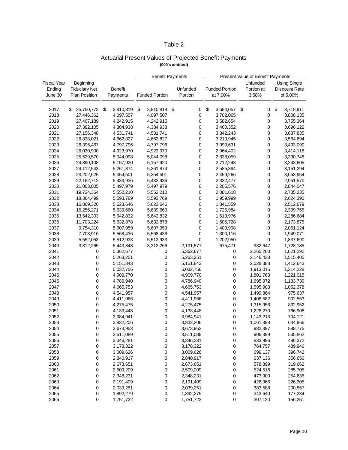#### Table 2

#### Actuarial Present Values of Projected Benefit Payments **(000's omitted)**

|                    |                      |                | <b>Benefit Payments</b> |                       |    | <b>Present Value of Benefit Payments</b> |    |                       |     |            |    |                      |
|--------------------|----------------------|----------------|-------------------------|-----------------------|----|------------------------------------------|----|-----------------------|-----|------------|----|----------------------|
| <b>Fiscal Year</b> | Beginning            |                |                         |                       |    |                                          |    |                       |     | Unfunded   |    | <b>Using Single</b>  |
| Ending             | <b>Fiduciary Net</b> | <b>Benefit</b> |                         |                       |    | Unfunded                                 |    | <b>Funded Portion</b> |     | Portion at |    | <b>Discount Rate</b> |
| June 30            | <b>Plan Position</b> | Payments       |                         | <b>Funded Portion</b> |    | Portion                                  |    | at 7.00%              |     | 3.58%      |    | of 5.00%             |
|                    |                      |                |                         |                       |    |                                          |    |                       |     |            |    |                      |
|                    |                      |                |                         |                       |    |                                          |    |                       |     |            |    |                      |
| 2017               | \$<br>25,750,772 \$  | 3,810,819      | \$                      | 3,810,819             | \$ | 0                                        | \$ | 3,684,057             | -\$ | 0          | \$ | 3,718,911            |
| 2018               | 27,446,362           | 4,097,507      |                         | 4,097,507             |    | 0                                        |    | 3,702,065             |     | 0          |    | 3,808,135            |
| 2019               | 27,467,189           | 4,242,915      |                         | 4,242,915             |    | 0                                        |    | 3,582,654             |     | 0          |    | 3,755,364            |
| 2020               | 27,382,105           | 4,384,938      |                         | 4,384,938             |    | 0                                        |    | 3,460,352             |     | 0          |    | 3,696,122            |
| 2021               | 27,156,348           | 4,531,741      |                         | 4,531,741             |    | 0                                        |    | 3,342,243             |     | 0          |    | 3,637,835            |
| 2022               | 26,838,021           | 4,662,827      |                         | 4,662,827             |    | 0                                        |    | 3,213,945             |     | 0          |    | 3,564,694            |
| 2023               | 26,396,467           | 4,797,796      |                         | 4,797,796             |    | 0                                        |    | 3,090,631             |     | 0          |    | 3,493,090            |
| 2024               | 26,030,900           | 4,923,970      |                         | 4,923,970             |    | 0                                        |    | 2,964,402             |     | 0          |    | 3,414,118            |
| 2025               | 25,529,570           | 5,044,098      |                         | 5,044,098             |    | 0                                        |    | 2,838,059             |     | 0          |    | 3,330,748            |
| 2026               | 24,890,108           | 5,157,920      |                         | 5,157,920             |    | $\pmb{0}$                                |    | 2,712,243             |     | 0          |    | 3,243,605            |
| 2027               | 24,112,543           | 5,261,874      |                         | 5,261,874             |    | 0                                        |    | 2,585,894             |     | 0          |    | 3,151,294            |
| 2028               | 23,202,625           | 5,354,501      |                         | 5,354,501             |    | 0                                        |    | 2,459,266             |     | 0          |    | 3,053,954            |
| 2029               | 22,162,712           | 5,433,936      |                         | 5,433,936             |    | 0                                        |    | 2,332,477             |     | 0          |    | 2,951,570            |
| 2030               | 21,003,005           | 5,497,979      |                         | 5,497,979             |    | $\pmb{0}$                                |    | 2,205,576             |     | 0          |    | 2,844,047            |
| 2031               | 19,734,364           | 5,552,210      |                         | 5,552,210             |    | 0                                        |    | 2,081,618             |     | 0          |    | 2,735,235            |
| 2032               | 18,364,499           | 5,593,769      |                         | 5,593,769             |    | 0                                        |    | 1,959,999             |     | 0          |    | 2,624,390            |
| 2033               | 16,869,320           | 5,623,646      |                         | 5,623,646             |    | 0                                        |    | 1,841,559             |     | 0          |    | 2,512,679            |
| 2034               | 15,256,271           | 5,639,660      |                         | 5,639,660             |    | $\pmb{0}$                                |    | 1,725,984             |     | 0          |    | 2,399,755            |
| 2035               | 13,542,303           | 5,642,832      |                         | 5,642,832             |    | 0                                        |    | 1,613,976             |     | 0          |    | 2,286,684            |
| 2036               | 11,703,224           | 5,632,878      |                         | 5,632,878             |    | 0                                        |    | 1,505,728             |     | 0          |    | 2,173,875            |
| 2037               | 9,754,310            | 5,607,959      |                         | 5,607,959             |    | 0                                        |    | 1,400,998             |     | 0          |    | 2,061,124            |
| 2038               | 7,703,916            | 5,568,436      |                         | 5,568,436             |    | $\pmb{0}$                                |    | 1,300,116             |     | 0          |    | 1,949,071            |
| 2039               | 5,552,053            | 5,512,933      |                         | 5,512,933             |    | 0                                        |    | 1,202,950             |     | 0          |    | 1,837,690            |
| 2040               | 3,312,265            | 5,443,843      |                         | 3,312,266             |    | 2,131,577                                |    | 675,471               |     | 932,647    |    | 1,728,185            |
| 2041               | 0                    | 5,362,677      |                         | 0                     |    | 5,362,677                                |    | 0                     |     | 2,265,280  |    | 1,621,292            |
| 2042               | 0                    | 5,263,251      |                         | 0                     |    | 5,263,251                                |    | 0                     |     | 2,146,438  |    | 1,515,405            |
| 2043               | 0                    | 5,151,843      |                         | 0                     |    | 5,151,843                                |    | 0                     |     | 2,028,388  |    | 1,412,643            |
| 2044               | 0                    | 5,032,756      |                         | 0                     |    | 5,032,756                                |    | 0                     |     | 1,913,015  |    | 1,314,228            |
| 2045               | $\mathbf 0$          | 4,909,770      |                         | 0                     |    | 4,909,770                                |    | 0                     |     | 1,801,763  |    | 1,221,015            |
| 2046               | 0                    | 4,786,940      |                         | 0                     |    | 4,786,940                                |    | 0                     |     | 1,695,972  |    | 1,133,739            |
| 2047               | 0                    | 4,665,753      |                         | 0                     |    | 4,665,753                                |    | 0                     |     | 1,595,903  |    | 1,052,378            |
| 2048               | 0                    | 4,541,957      |                         | 0                     |    | 4,541,957                                |    | 0                     |     | 1,499,864  |    | 975,637              |
| 2049               | 0                    | 4,411,966      |                         | 0                     |    | 4,411,966                                |    | 0                     |     | 1,406,582  |    | 902,553              |
| 2050               | 0                    | 4,275,475      |                         | 0                     |    | 4,275,475                                |    | 0                     |     | 1,315,956  |    | 832,952              |
| 2051               | 0                    | 4,133,448      |                         | 0                     |    | 4,133,448                                |    | 0                     |     | 1,228,270  |    | 766,908              |
| 2052               | 0                    | 3,984,941      |                         | 0                     |    |                                          |    | 0                     |     |            |    | 704,121              |
| 2053               | 0                    | 3,832,206      |                         | 0                     |    | 3,984,941<br>3,832,206                   |    | 0                     |     | 1,143,213  |    | 644,866              |
|                    |                      |                |                         |                       |    |                                          |    |                       |     | 1,061,398  |    |                      |
| 2054               | 0                    | 3,673,953      |                         | 0                     |    | 3,673,953                                |    | 0                     |     | 982,397    |    | 588,775              |
| 2055               | 0                    | 3,511,089      |                         | 0                     |    | 3,511,089                                |    | 0                     |     | 906,399    |    | 535,862              |
| 2056               | 0                    | 3,346,281      |                         | 0                     |    | 3,346,281                                |    | 0                     |     | 833,996    |    | 486,372              |
| 2057               | 0                    | 3,178,322      |                         | 0                     |    | 3,178,322                                |    | 0                     |     | 764,757    |    | 439,946              |
| 2058               | 0                    | 3,009,626      |                         | 0                     |    | 3,009,626                                |    | 0                     |     | 699,137    |    | 396,742              |
| 2059               | 0                    | 2,840,917      |                         | 0                     |    | 2,840,917                                |    | 0                     |     | 637,136    |    | 356,656              |
| 2060               | 0                    | 2,673,651      |                         | 0                     |    | 2,673,651                                |    | 0                     |     | 578,899    |    | 319,662              |
| 2061               | 0                    | 2,509,209      |                         | 0                     |    | 2,509,209                                |    | 0                     |     | 524,516    |    | 285,705              |
| 2062               | 0                    | 2,348,231      |                         | 0                     |    | 2,348,231                                |    | 0                     |     | 473,900    |    | 254,635              |
| 2063               | 0                    | 2,191,409      |                         | 0                     |    | 2,191,409                                |    | 0                     |     | 426,966    |    | 226,305              |
| 2064               | 0                    | 2,039,251      |                         | 0                     |    | 2,039,251                                |    | 0                     |     | 383,588    |    | 200,557              |
| 2065               | 0                    | 1,892,279      |                         | 0                     |    | 1,892,279                                |    | 0                     |     | 343,640    |    | 177,234              |
| 2066               | 0                    | 1,751,722      |                         | 0                     |    | 1,751,722                                |    | 0                     |     | 307,120    |    | 156,251              |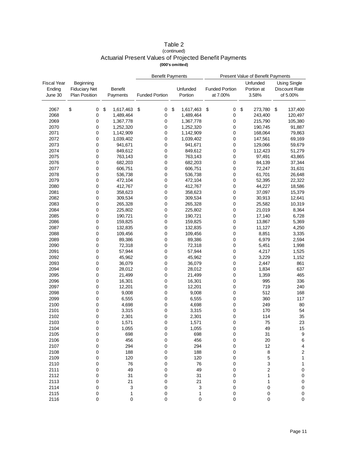#### Table 2 (continued) Actuarial Present Values of Projected Benefit Payments **(000's omitted)**

|                    |                      |                 | <b>Benefit Payments</b> |                 | Present Value of Benefit Payments |               |                         |  |
|--------------------|----------------------|-----------------|-------------------------|-----------------|-----------------------------------|---------------|-------------------------|--|
| <b>Fiscal Year</b> | Beginning            |                 |                         |                 |                                   | Unfunded      | <b>Using Single</b>     |  |
| Ending             | <b>Fiduciary Net</b> | <b>Benefit</b>  |                         | Unfunded        | <b>Funded Portion</b>             | Portion at    | Discount Rate           |  |
| June 30            | <b>Plan Position</b> | Payments        | <b>Funded Portion</b>   | Portion         | at 7.00%                          | 3.58%         | of 5.00%                |  |
|                    |                      |                 |                         |                 |                                   |               |                         |  |
|                    |                      |                 |                         |                 |                                   |               |                         |  |
| 2067               | \$<br>0              | \$<br>1,617,463 | \$<br>0                 | \$<br>1,617,463 | $\pmb{0}$<br>\$                   | \$<br>273,780 | 137,400<br>\$           |  |
| 2068               | 0                    | 1,489,464       | 0                       | 1,489,464       | 0                                 | 243,400       | 120,497                 |  |
| 2069               | 0                    | 1,367,778       | $\pmb{0}$               | 1,367,778       | $\pmb{0}$                         | 215,790       | 105,380                 |  |
| 2070               | 0                    | 1,252,320       | $\pmb{0}$               | 1,252,320       | 0                                 | 190,745       | 91,887                  |  |
| 2071               | 0                    | 1,142,909       | $\mathbf 0$             | 1,142,909       | 0                                 | 168,064       | 79,863                  |  |
| 2072               | 0                    | 1,039,402       | $\mathbf 0$             | 1,039,402       | 0                                 | 147,561       | 69,169                  |  |
| 2073               | 0                    | 941,671         | $\pmb{0}$               | 941,671         | $\pmb{0}$                         | 129,066       | 59,679                  |  |
| 2074               | 0                    | 849,612         | 0                       | 849,612         | 0                                 | 112,423       | 51,279                  |  |
| 2075               | 0                    | 763,143         | 0                       | 763,143         | 0                                 | 97,491        | 43,865                  |  |
| 2076               | 0                    | 682,203         | 0                       | 682,203         | 0                                 | 84,139        | 37,344                  |  |
| 2077               | 0                    | 606,751         | 0                       | 606,751         | 0                                 | 72,247        | 31,631                  |  |
| 2078               | 0                    | 536,738         | 0                       | 536,738         | 0                                 | 61,701        | 26,648                  |  |
| 2079               | 0                    | 472,104         | 0                       | 472,104         | 0                                 | 52,395        | 22,322                  |  |
| 2080               | 0                    | 412,767         | $\mathbf 0$             | 412,767         | 0                                 | 44,227        | 18,586                  |  |
| 2081               | 0                    | 358,623         | 0                       | 358,623         | 0                                 | 37,097        | 15,379                  |  |
| 2082               | 0                    | 309,534         | 0                       | 309,534         | 0                                 | 30,913        | 12,641                  |  |
| 2083               | 0                    | 265,328         | $\mathbf 0$             | 265,328         | 0                                 | 25,582        | 10,319                  |  |
| 2084               | 0                    | 225,802         | $\pmb{0}$               | 225,802         | $\pmb{0}$                         | 21,019        | 8,364                   |  |
| 2085               | 0                    | 190,721         | 0                       | 190,721         | 0                                 | 17,140        | 6,728                   |  |
| 2086               | 0                    | 159,825         | $\mathbf 0$             | 159,825         | 0                                 | 13,867        | 5,369                   |  |
| 2087               | 0                    | 132,835         | $\mathbf 0$             | 132,835         | 0                                 | 11,127        | 4,250                   |  |
| 2088               | 0                    | 109,456         | 0                       | 109,456         | 0                                 | 8,851         | 3,335                   |  |
| 2089               | 0                    | 89,386          | 0                       | 89,386          | 0                                 | 6,979         | 2,594                   |  |
| 2090               | 0                    | 72,318          | 0                       | 72,318          | 0                                 | 5,451         | 1,998                   |  |
| 2091               | 0                    | 57,944          | $\mathbf 0$             | 57,944          | 0                                 | 4,217         | 1,525                   |  |
| 2092               | 0                    | 45,962          | $\pmb{0}$               | 45,962          | 0                                 | 3,229         | 1,152                   |  |
| 2093               | 0                    | 36,079          | 0                       | 36,079          | 0                                 | 2,447         | 861                     |  |
| 2094               | 0                    | 28,012          | 0                       | 28,012          | 0                                 | 1,834         | 637                     |  |
| 2095               | 0                    | 21,499          | 0                       | 21,499          | 0                                 | 1,359         | 465                     |  |
| 2096               | 0                    | 16,301          | 0                       | 16,301          | 0                                 | 995           | 336                     |  |
| 2097               | 0                    | 12,201          | $\mathbf 0$             | 12,201          | 0                                 | 719           | 240                     |  |
| 2098               | 0                    | 9,008           | $\mathbf 0$             | 9,008           | 0                                 | 512           | 168                     |  |
| 2099               | 0                    | 6,555           | 0                       | 6,555           | 0                                 | 360           | 117                     |  |
| 2100               | 0                    | 4,698           | 0                       | 4,698           | 0                                 | 249           | 80                      |  |
| 2101               | 0                    | 3,315           | $\mathbf 0$             | 3,315           | 0                                 | 170           | 54                      |  |
| 2102               | 0                    | 2,301           | 0                       | 2,301           | 0                                 | 114           | 35                      |  |
| 2103               | 0                    | 1,571           | $\mathbf 0$             | 1,571           | 0                                 | 75            | 23                      |  |
| 2104               | 0                    |                 | 0                       |                 | $\Omega$                          | 49            | $15\,$                  |  |
|                    |                      | 1,055           |                         | 1,055           |                                   |               |                         |  |
| 2105<br>2106       | 0                    | 698<br>456      | 0                       | 698<br>456      | 0                                 | 31<br>20      | 9                       |  |
|                    | 0                    |                 | 0                       |                 | 0                                 |               | 6                       |  |
| 2107               | 0                    | 294             | 0                       | 294             | 0                                 | 12            | 4                       |  |
| 2108               | 0                    | 188             | 0                       | 188             | 0                                 | 8             | $\overline{\mathbf{c}}$ |  |
| 2109               | 0                    | 120             | 0                       | 120             | 0                                 | 5             | 1                       |  |
| 2110               | 0                    | 76              | 0                       | 76              | 0                                 | 3             | 1                       |  |
| 2111               | 0                    | 49              | 0                       | 49              | 0                                 | 2             | 0                       |  |
| 2112               | 0                    | 31              | 0                       | 31              | 0                                 | 1             | 0                       |  |
| 2113               | 0                    | 21              | 0                       | 21              | 0                                 | 1             | 0                       |  |
| 2114               | 0                    | 3               | 0                       | 3               | 0                                 | 0             | 0                       |  |
| 2115               | 0                    | $\mathbf{1}$    | 0                       | 1               | $\pmb{0}$                         | $\pmb{0}$     | $\pmb{0}$               |  |
| 2116               | 0                    | 0               | 0                       | 0               | 0                                 | 0             | $\pmb{0}$               |  |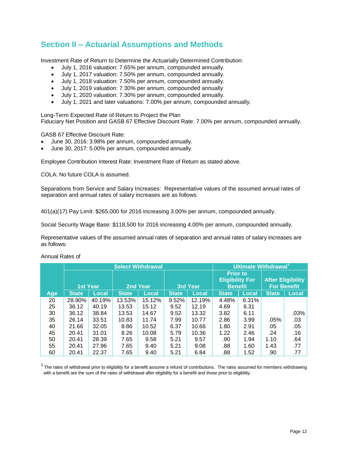### **Section II – Actuarial Assumptions and Methods**

Investment Rate of Return to Determine the Actuarially Determined Contribution:

- July 1, 2016 valuation: 7.65% per annum, compounded annually.
- July 1, 2017 valuation: 7.50% per annum, compounded annually.
- July 1, 2018 valuation: 7.50% per annum, compounded annually.
- July 1, 2019 valuation: 7.30% per annum, compounded annually
- July 1, 2020 valuation: 7.30% per annum, compounded annually.
- July 1, 2021 and later valuations: 7.00% per annum, compounded annually.

Long-Term Expected Rate of Return to Project the Plan Fiduciary Net Position and GASB 67 Effective Discount Rate: 7.00% per annum, compounded annually.

GASB 67 Effective Discount Rate:

- June 30, 2016: 3.98% per annum, compounded annually.
- June 30, 2017: 5.00% per annum, compounded annually.

Employee Contribution Interest Rate: Investment Rate of Return as stated above.

COLA: No future COLA is assumed.

Separations from Service and Salary Increases: Representative values of the assumed annual rates of separation and annual rates of salary increases are as follows:

401(a)(17) Pay Limit: \$265,000 for 2016 increasing 3.00% per annum, compounded annually.

Social Security Wage Base: \$118,500 for 2016 increasing 4.00% per annum, compounded annually.

Representative values of the assumed annual rates of separation and annual rates of salary increases are as follows:

|            | <b>Select Withdrawal</b> |        |              |              |              |        |                                                             | Ultimate Withdrawal <sup>1</sup> |                                                |       |
|------------|--------------------------|--------|--------------|--------------|--------------|--------|-------------------------------------------------------------|----------------------------------|------------------------------------------------|-------|
|            | <b>1st Year</b>          |        | 2nd Year     |              | 3rd Year     |        | <b>Prior to</b><br><b>Eligibility For</b><br><b>Benefit</b> |                                  | <b>After Eligibility</b><br><b>For Benefit</b> |       |
| <b>Age</b> | <b>State</b>             | Local  | <b>State</b> | <b>Local</b> | <b>State</b> | Local  | <b>State</b>                                                | Local                            | <b>State</b>                                   | Local |
| 20         | 28.90%                   | 40.19% | 13.53%       | 15.12%       | 9.52%        | 12.19% | 4.48%                                                       | 6.31%                            |                                                |       |
| 25         | 36.12                    | 40.19  | 13.53        | 15.12        | 9.52         | 12.19  | 4.69                                                        | 6.31                             |                                                |       |
| 30         | 36.12                    | 38.84  | 13.53        | 14.67        | 9.52         | 13.32  | 3.82                                                        | 6.11                             |                                                | .03%  |
| 35         | 26.14                    | 33.51  | 10.83        | 11.74        | 7.99         | 10.77  | 2.86                                                        | 3.99                             | .05%                                           | .03   |
| 40         | 21.66                    | 32.05  | 8.86         | 10.52        | 6.37         | 10.66  | 1.80                                                        | 2.91                             | .05                                            | .05   |
| 45         | 20.41                    | 31.01  | 8.26         | 10.08        | 5.79         | 10.36  | 1.22                                                        | 2.46                             | .24                                            | .16   |
| 50         | 20.41                    | 28.39  | 7.65         | 9.58         | 5.21         | 9.57   | .90                                                         | 1.94                             | 1.10                                           | .64   |
| 55         | 20.41                    | 27.96  | 7.65         | 9.40         | 5.21         | 9.08   | .88                                                         | 1.60                             | 1.43                                           | .77   |
| 60         | 20.41                    | 22.37  | 7.65         | 9.40         | 5.21         | 6.84   | .88                                                         | 1.52                             | .90                                            | .77   |

Annual Rates of

 $1$  The rates of withdrawal prior to eligibility for a benefit assume a refund of contributions. The rates assumed for members withdrawing with a benefit are the sum of the rates of withdrawal after eligibility for a benefit and those prior to eligibility.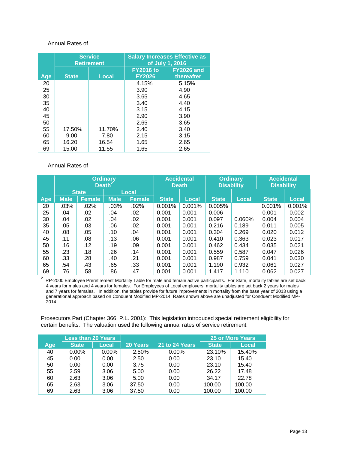#### Annual Rates of

|            |              | <b>Service</b><br><b>Retirement</b> | <b>Salary Increases Effective as</b><br>of July 1, 2016 |                                 |  |  |
|------------|--------------|-------------------------------------|---------------------------------------------------------|---------------------------------|--|--|
| <b>Age</b> | <b>State</b> | <b>Local</b>                        | <b>FY2016 to</b><br><b>FY2026</b>                       | <b>FY2026 and</b><br>thereafter |  |  |
| 20         |              |                                     | 4.15%                                                   | 5.15%                           |  |  |
| 25         |              |                                     | 3.90                                                    | 4.90                            |  |  |
| 30         |              |                                     | 3.65                                                    | 4.65                            |  |  |
| 35         |              |                                     | 3.40                                                    | 4.40                            |  |  |
| 40         |              |                                     | 3.15                                                    | 4.15                            |  |  |
| 45         |              |                                     | 2.90                                                    | 3.90                            |  |  |
| 50         |              |                                     | 2.65                                                    | 3.65                            |  |  |
| 55         | 17.50%       | 11.70%                              | 2.40                                                    | 3.40                            |  |  |
| 60         | 9.00         | 7.80                                | 2.15                                                    | 3.15                            |  |  |
| 65         | 16.20        | 16.54                               | 1.65                                                    | 2.65                            |  |  |
| 69         | 15.00        | 11.55                               | 1.65                                                    | 2.65                            |  |  |

#### Annual Rates of

|            | <b>Ordinary</b><br>Death <sup>2</sup> |               |             |               | <b>Accidental</b><br><b>Death</b> |              | <b>Ordinary</b><br><b>Disability</b> |              | <b>Accidental</b><br><b>Disability</b> |              |
|------------|---------------------------------------|---------------|-------------|---------------|-----------------------------------|--------------|--------------------------------------|--------------|----------------------------------------|--------------|
|            |                                       | <b>State</b>  | Local       |               |                                   |              |                                      |              |                                        |              |
| <b>Age</b> | <b>Male</b>                           | <b>Female</b> | <b>Male</b> | <b>Female</b> | <b>State</b>                      | <b>Local</b> | <b>State</b>                         | <b>Local</b> | <b>State</b>                           | <b>Local</b> |
| 20         | .03%                                  | .02%          | $.03\%$     | .02%          | 0.001%                            | 0.001%       | 0.005%                               |              | 0.001%                                 | 0.001%       |
| 25         | .04                                   | .02           | .04         | .02           | 0.001                             | 0.001        | 0.006                                |              | 0.001                                  | 0.002        |
| 30         | .04                                   | .02           | .04         | .02           | 0.001                             | 0.001        | 0.097                                | 0.060%       | 0.004                                  | 0.004        |
| 35         | .05                                   | .03           | .06         | .02           | 0.001                             | 0.001        | 0.216                                | 0.189        | 0.011                                  | 0.005        |
| 40         | .08                                   | .05           | .10         | .04           | 0.001                             | 0.001        | 0.304                                | 0.269        | 0.020                                  | 0.012        |
| 45         | .11                                   | .08           | .13         | .06           | 0.001                             | 0.001        | 0.410                                | 0.363        | 0.023                                  | 0.017        |
| 50         | .16                                   | .12           | .19         | .09           | 0.001                             | 0.001        | 0.462                                | 0.434        | 0.035                                  | 0.021        |
| 55         | .23                                   | .18           | .26         | .14           | 0.001                             | 0.001        | 0.559                                | 0.587        | 0.047                                  | 0.026        |
| 60         | .33                                   | .28           | .40         | .21           | 0.001                             | 0.001        | 0.987                                | 0.759        | 0.041                                  | 0.030        |
| 65         | .54                                   | .43           | .65         | .33           | 0.001                             | 0.001        | 1.190                                | 0.932        | 0.061                                  | 0.027        |
| 69         | .76                                   | .58           | .86         | .47           | 0.001                             | 0.001        | 1.417                                | 1.110        | 0.062                                  | 0.027        |

 $2$  RP-2000 Employee Preretirement Mortality Table for male and female active participants. For State, mortality tables are set back 4 years for males and 4 years for females. For Employees of Local employers, mortality tables are set back 2 years for males and 7 years for females. In addition, the tables provide for future improvements in mortality from the base year of 2013 using a generational approach based on Conduent Modified MP-2014. Rates shown above are unadjusted for Conduent Modified MP-2014.

Prosecutors Part (Chapter 366, P.L. 2001): This legislation introduced special retirement eligibility for certain benefits. The valuation used the following annual rates of service retirement:

|     | <b>Less than 20 Years</b> |          |          |                |              | 25 or More Years |
|-----|---------------------------|----------|----------|----------------|--------------|------------------|
| Age | <b>State</b>              | Local    | 20 Years | 21 to 24 Years | <b>State</b> | <b>Local</b>     |
| 40  | $0.00\%$                  | $0.00\%$ | 2.50%    | $0.00\%$       | 23.10%       | 15.40%           |
| 45  | 0.00                      | 0.00     | 2.50     | 0.00           | 23.10        | 15.40            |
| 50  | 0.00                      | 0.00     | 3.75     | 0.00           | 23.10        | 15.40            |
| 55  | 2.59                      | 3.06     | 5.00     | 0.00           | 26.22        | 17.48            |
| 60  | 2.63                      | 3.06     | 5.00     | 0.00           | 34.17        | 22.78            |
| 65  | 2.63                      | 3.06     | 37.50    | 0.00           | 100.00       | 100.00           |
| 69  | 2.63                      | 3.06     | 37.50    | 0.00           | 100.00       | 100.00           |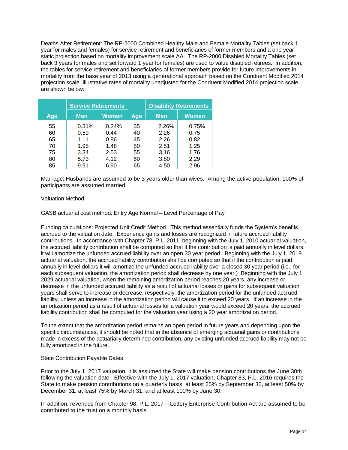Deaths After Retirement: The RP-2000 Combined Healthy Male and Female Mortality Tables (set back 1 year for males and females) for service retirement and beneficiaries of former members and a one year static projection based on mortality improvement scale AA. The RP-2000 Disabled Mortality Tables (set back 3 years for males and set forward 1 year for females) are used to value disabled retirees. In addition, the tables for service retirement and beneficiaries of former members provide for future improvements in mortality from the base year of 2013 using a generational approach based on the Conduent Modified 2014 projection scale. Illustrative rates of mortality unadjusted for the Conduent Modified 2014 projection scale are shown below:

|     | <b>Service Retirements</b> |       |     | <b>Disability Retirements</b> |              |  |
|-----|----------------------------|-------|-----|-------------------------------|--------------|--|
| Age | <b>Men</b>                 | Women | Age | <b>Men</b>                    | <b>Women</b> |  |
| 55  | 0.31%                      | 0.24% | 35  | 2.26%                         | 0.75%        |  |
| 60  | 0.59                       | 0.44  | 40  | 2.26                          | 0.75         |  |
| 65  | 1.11                       | 0.86  | 45  | 2.26                          | 0.82         |  |
| 70  | 1.95                       | 1.48  | 50  | 2.51                          | 1.25         |  |
| 75  | 3.34                       | 2.53  | 55  | 3.16                          | 1.76         |  |
| 80  | 5.73                       | 4.12  | 60  | 3.80                          | 2.29         |  |
| 85  | 9.91                       | 6.90  | 65  | 4.50                          | 2.96         |  |

Marriage: Husbands are assumed to be 3 years older than wives. Among the active population, 100% of participants are assumed married.

Valuation Method:

GASB actuarial cost method: Entry Age Normal – Level Percentage of Pay

Funding calculations: Projected Unit Credit Method. This method essentially funds the System's benefits accrued to the valuation date. Experience gains and losses are recognized in future accrued liability contributions. In accordance with Chapter 78, P.L. 2011, beginning with the July 1, 2010 actuarial valuation, the accrued liability contribution shall be computed so that if the contribution is paid annually in level dollars, it will amortize the unfunded accrued liability over an open 30 year period. Beginning with the July 1, 2019 actuarial valuation, the accrued liability contribution shall be computed so that if the contribution is paid annually in level dollars it will amortize the unfunded accrued liability over a closed 30 year period (i.e., for each subsequent valuation, the amortization period shall decrease by one year.) Beginning with the July 1, 2029 actuarial valuation, when the remaining amortization period reaches 20 years, any increase or decrease in the unfunded accrued liability as a result of actuarial losses or gains for subsequent valuation years shall serve to increase or decrease, respectively, the amortization period for the unfunded accrued liability, unless an increase in the amortization period will cause it to exceed 20 years. If an increase in the amortization period as a result of actuarial losses for a valuation year would exceed 20 years, the accrued liability contribution shall be computed for the valuation year using a 20 year amortization period.

To the extent that the amortization period remains an open period in future years and depending upon the specific circumstances, it should be noted that in the absence of emerging actuarial gains or contributions made in excess of the actuarially determined contribution, any existing unfunded accrued liability may not be fully amortized in the future.

State Contribution Payable Dates:

Prior to the July 1, 2017 valuation, it is assumed the State will make pension contributions the June 30th following the valuation date. Effective with the July 1, 2017 valuation, Chapter 83, P.L. 2016 requires the State to make pension contributions on a quarterly basis: at least 25% by September 30, at least 50% by December 31, at least 75% by March 31, and at least 100% by June 30.

In addition, revenues from Chapter 98, P.L. 2017 – Lottery Enterprise Contribution Act are assumed to be contributed to the trust on a monthly basis.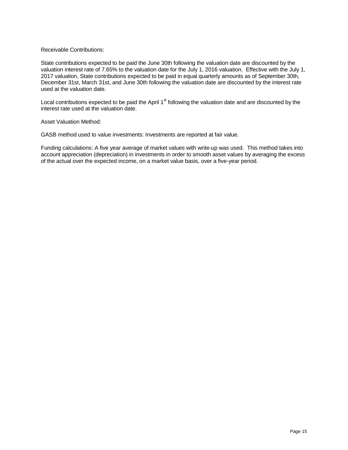#### Receivable Contributions:

State contributions expected to be paid the June 30th following the valuation date are discounted by the valuation interest rate of 7.65% to the valuation date for the July 1, 2016 valuation. Effective with the July 1, 2017 valuation, State contributions expected to be paid in equal quarterly amounts as of September 30th, December 31st, March 31st, and June 30th following the valuation date are discounted by the interest rate used at the valuation date.

Local contributions expected to be paid the April  $1<sup>st</sup>$  following the valuation date and are discounted by the interest rate used at the valuation date.

Asset Valuation Method:

GASB method used to value investments: Investments are reported at fair value.

Funding calculations: A five year average of market values with write-up was used. This method takes into account appreciation (depreciation) in investments in order to smooth asset values by averaging the excess of the actual over the expected income, on a market value basis, over a five-year period.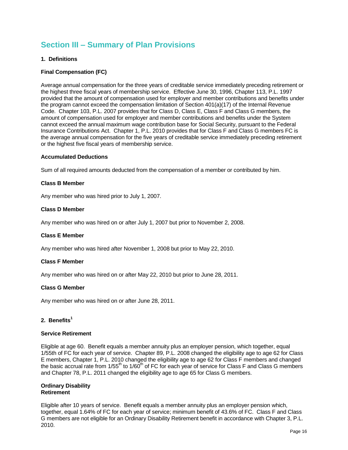## **Section III – Summary of Plan Provisions**

#### **1. Definitions**

#### **Final Compensation (FC)**

Average annual compensation for the three years of creditable service immediately preceding retirement or the highest three fiscal years of membership service. Effective June 30, 1996, Chapter 113, P.L. 1997 provided that the amount of compensation used for employer and member contributions and benefits under the program cannot exceed the compensation limitation of Section 401(a)(17) of the Internal Revenue Code. Chapter 103, P.L. 2007 provides that for Class D, Class E, Class F and Class G members, the amount of compensation used for employer and member contributions and benefits under the System cannot exceed the annual maximum wage contribution base for Social Security, pursuant to the Federal Insurance Contributions Act. Chapter 1, P.L. 2010 provides that for Class F and Class G members FC is the average annual compensation for the five years of creditable service immediately preceding retirement or the highest five fiscal years of membership service.

#### **Accumulated Deductions**

Sum of all required amounts deducted from the compensation of a member or contributed by him.

#### **Class B Member**

Any member who was hired prior to July 1, 2007.

#### **Class D Member**

Any member who was hired on or after July 1, 2007 but prior to November 2, 2008.

#### **Class E Member**

Any member who was hired after November 1, 2008 but prior to May 22, 2010.

#### **Class F Member**

Any member who was hired on or after May 22, 2010 but prior to June 28, 2011.

#### **Class G Member**

Any member who was hired on or after June 28, 2011.

#### **2. Benefits<sup>1</sup>**

#### **Service Retirement**

Eligible at age 60. Benefit equals a member annuity plus an employer pension, which together, equal 1/55th of FC for each year of service. Chapter 89, P.L. 2008 changed the eligibility age to age 62 for Class E members, Chapter 1, P.L. 2010 changed the eligibility age to age 62 for Class F members and changed the basic accrual rate from 1/55<sup>th</sup> to 1/60<sup>th</sup> of FC for each year of service for Class F and Class G members and Chapter 78, P.L. 2011 changed the eligibility age to age 65 for Class G members.

#### **Ordinary Disability Retirement**

Eligible after 10 years of service. Benefit equals a member annuity plus an employer pension which, together, equal 1.64% of FC for each year of service; minimum benefit of 43.6% of FC. Class F and Class G members are not eligible for an Ordinary Disability Retirement benefit in accordance with Chapter 3, P.L. 2010.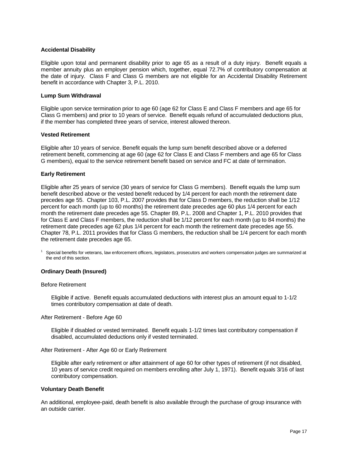#### **Accidental Disability**

Eligible upon total and permanent disability prior to age 65 as a result of a duty injury. Benefit equals a member annuity plus an employer pension which, together, equal 72.7% of contributory compensation at the date of injury. Class F and Class G members are not eligible for an Accidental Disability Retirement benefit in accordance with Chapter 3, P.L. 2010.

#### **Lump Sum Withdrawal**

Eligible upon service termination prior to age 60 (age 62 for Class E and Class F members and age 65 for Class G members) and prior to 10 years of service. Benefit equals refund of accumulated deductions plus, if the member has completed three years of service, interest allowed thereon.

#### **Vested Retirement**

Eligible after 10 years of service. Benefit equals the lump sum benefit described above or a deferred retirement benefit, commencing at age 60 (age 62 for Class E and Class F members and age 65 for Class G members), equal to the service retirement benefit based on service and FC at date of termination.

#### **Early Retirement**

Eligible after 25 years of service (30 years of service for Class G members). Benefit equals the lump sum benefit described above or the vested benefit reduced by 1/4 percent for each month the retirement date precedes age 55. Chapter 103, P.L. 2007 provides that for Class D members, the reduction shall be 1/12 percent for each month (up to 60 months) the retirement date precedes age 60 plus 1/4 percent for each month the retirement date precedes age 55. Chapter 89, P.L. 2008 and Chapter 1, P.L. 2010 provides that for Class E and Class F members, the reduction shall be 1/12 percent for each month (up to 84 months) the retirement date precedes age 62 plus 1/4 percent for each month the retirement date precedes age 55. Chapter 78, P.L. 2011 provides that for Class G members, the reduction shall be 1/4 percent for each month the retirement date precedes age 65.

<sup>1</sup>Special benefits for veterans, law enforcement officers, legislators, prosecutors and workers compensation judges are summarized at the end of this section.

#### **Ordinary Death (Insured)**

#### Before Retirement

Eligible if active. Benefit equals accumulated deductions with interest plus an amount equal to 1-1/2 times contributory compensation at date of death.

After Retirement - Before Age 60

Eligible if disabled or vested terminated. Benefit equals 1-1/2 times last contributory compensation if disabled, accumulated deductions only if vested terminated.

After Retirement - After Age 60 or Early Retirement

Eligible after early retirement or after attainment of age 60 for other types of retirement (if not disabled, 10 years of service credit required on members enrolling after July 1, 1971). Benefit equals 3/16 of last contributory compensation.

#### **Voluntary Death Benefit**

An additional, employee-paid, death benefit is also available through the purchase of group insurance with an outside carrier.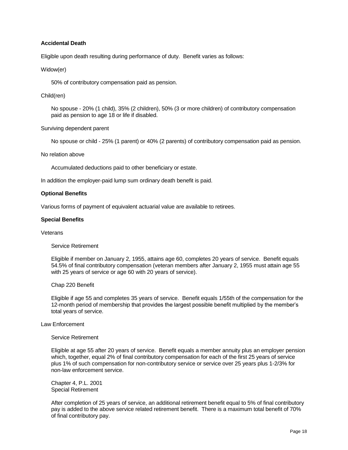#### **Accidental Death**

Eligible upon death resulting during performance of duty. Benefit varies as follows:

#### Widow(er)

50% of contributory compensation paid as pension.

#### Child(ren)

No spouse - 20% (1 child), 35% (2 children), 50% (3 or more children) of contributory compensation paid as pension to age 18 or life if disabled.

Surviving dependent parent

No spouse or child - 25% (1 parent) or 40% (2 parents) of contributory compensation paid as pension.

#### No relation above

Accumulated deductions paid to other beneficiary or estate.

In addition the employer-paid lump sum ordinary death benefit is paid.

#### **Optional Benefits**

Various forms of payment of equivalent actuarial value are available to retirees.

#### **Special Benefits**

Veterans

#### Service Retirement

Eligible if member on January 2, 1955, attains age 60, completes 20 years of service. Benefit equals 54.5% of final contributory compensation (veteran members after January 2, 1955 must attain age 55 with 25 years of service or age 60 with 20 years of service).

#### Chap 220 Benefit

Eligible if age 55 and completes 35 years of service. Benefit equals 1/55th of the compensation for the 12-month period of membership that provides the largest possible benefit multiplied by the member's total years of service.

#### Law Enforcement

#### Service Retirement

Eligible at age 55 after 20 years of service. Benefit equals a member annuity plus an employer pension which, together, equal 2% of final contributory compensation for each of the first 25 years of service plus 1% of such compensation for non-contributory service or service over 25 years plus 1-2/3% for non-law enforcement service.

Chapter 4, P.L. 2001 Special Retirement

After completion of 25 years of service, an additional retirement benefit equal to 5% of final contributory pay is added to the above service related retirement benefit. There is a maximum total benefit of 70% of final contributory pay.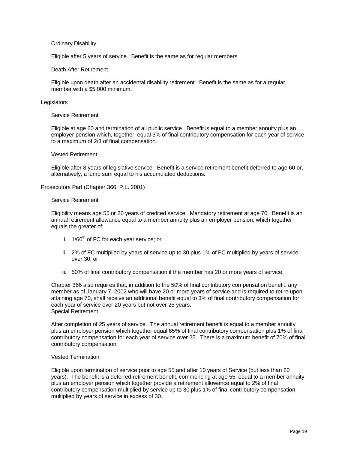#### Ordinary Disability

Eligible after 5 years of service. Benefit is the same as for regular members.

#### Death After Retirement

Eligible upon death after an accidental disability retirement. Benefit is the same as for a regular member with a \$5,000 minimum.

#### **Legislators**

#### Service Retirement

Eligible at age 60 and termination of all public service. Benefit is equal to a member annuity plus an employer pension which, together, equal 3% of final contributory compensation for each year of service to a maximum of 2/3 of final compensation.

#### Vested Retirement

Eligible after 8 years of legislative service. Benefit is a service retirement benefit deferred to age 60 or, alternatively, a lump sum equal to his accumulated deductions.

Prosecutors Part (Chapter 366, P.L. 2001)

#### Service Retirement

Eligibility means age 55 or 20 years of credited service. Mandatory retirement at age 70. Benefit is an annual retirement allowance equal to a member annuity plus an employer pension, which together equals the greater of:

- i.  $1/60^{th}$  of FC for each year service; or
- ii. 2% of FC multiplied by years of service up to 30 plus 1% of FC multiplied by years of service over 30; or
- iii. 50% of final contributory compensation if the member has 20 or more years of service.

Chapter 366 also requires that, in addition to the 50% of final contributory compensation benefit, any member as of January 7, 2002 who will have 20 or more years of service and is required to retire upon attaining age 70, shall receive an additional benefit equal to 3% of final contributory compensation for each year of service over 20 years but not over 25 years. Special Retirement

After completion of 25 years of service. The annual retirement benefit is equal to a member annuity plus an employer pension which together equal 65% of final contributory compensation plus 1% of final contributory compensation for each year of service over 25. There is a maximum benefit of 70% of final contributory compensation.

#### Vested Termination

Eligible upon termination of service prior to age 55 and after 10 years of Service (but less than 20 years). The benefit is a deferred retirement benefit, commencing at age 55, equal to a member annuity plus an employer pension which together provide a retirement allowance equal to 2% of final contributory compensation multiplied by service up to 30 plus 1% of final contributory compensation multiplied by years of service in excess of 30.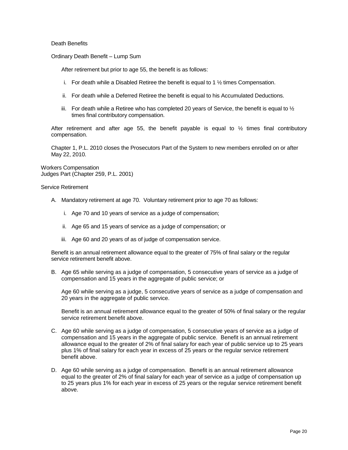Death Benefits

Ordinary Death Benefit – Lump Sum

After retirement but prior to age 55, the benefit is as follows:

- i. For death while a Disabled Retiree the benefit is equal to 1  $\frac{1}{2}$  times Compensation.
- ii. For death while a Deferred Retiree the benefit is equal to his Accumulated Deductions.
- iii. For death while a Retiree who has completed 20 years of Service, the benefit is equal to  $\frac{1}{2}$ times final contributory compensation.

After retirement and after age 55, the benefit payable is equal to  $\frac{1}{2}$  times final contributory compensation.

Chapter 1, P.L. 2010 closes the Prosecutors Part of the System to new members enrolled on or after May 22, 2010.

Workers Compensation Judges Part (Chapter 259, P.L. 2001)

Service Retirement

- A. Mandatory retirement at age 70. Voluntary retirement prior to age 70 as follows:
	- i. Age 70 and 10 years of service as a judge of compensation;
	- ii. Age 65 and 15 years of service as a judge of compensation; or
	- iii. Age 60 and 20 years of as of judge of compensation service.

Benefit is an annual retirement allowance equal to the greater of 75% of final salary or the regular service retirement benefit above.

B. Age 65 while serving as a judge of compensation, 5 consecutive years of service as a judge of compensation and 15 years in the aggregate of public service; or

Age 60 while serving as a judge, 5 consecutive years of service as a judge of compensation and 20 years in the aggregate of public service.

Benefit is an annual retirement allowance equal to the greater of 50% of final salary or the regular service retirement benefit above.

- C. Age 60 while serving as a judge of compensation, 5 consecutive years of service as a judge of compensation and 15 years in the aggregate of public service. Benefit is an annual retirement allowance equal to the greater of 2% of final salary for each year of public service up to 25 years plus 1% of final salary for each year in excess of 25 years or the regular service retirement benefit above.
- D. Age 60 while serving as a judge of compensation. Benefit is an annual retirement allowance equal to the greater of 2% of final salary for each year of service as a judge of compensation up to 25 years plus 1% for each year in excess of 25 years or the regular service retirement benefit above.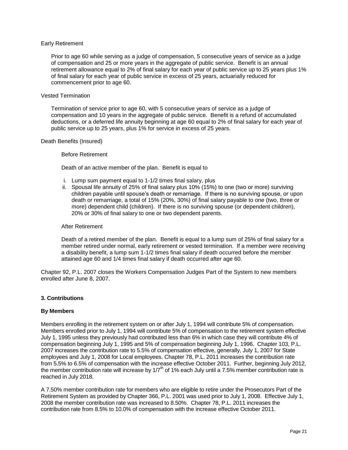#### Early Retirement

Prior to age 60 while serving as a judge of compensation, 5 consecutive years of service as a judge of compensation and 25 or more years in the aggregate of public service. Benefit is an annual retirement allowance equal to 2% of final salary for each year of public service up to 25 years plus 1% of final salary for each year of public service in excess of 25 years, actuarially reduced for commencement prior to age 60.

#### Vested Termination

Termination of service prior to age 60, with 5 consecutive years of service as a judge of compensation and 10 years in the aggregate of public service. Benefit is a refund of accumulated deductions, or a deferred life annuity beginning at age 60 equal to 2% of final salary for each year of public service up to 25 years, plus 1% for service in excess of 25 years.

#### Death Benefits (Insured)

#### Before Retirement

Death of an active member of the plan. Benefit is equal to

- i. Lump sum payment equal to 1-1/2 times final salary, plus
- ii. Spousal life annuity of 25% of final salary plus 10% (15%) to one (two or more) surviving children payable until spouse's death or remarriage. If there is no surviving spouse, or upon death or remarriage, a total of 15% (20%, 30%) of final salary payable to one (two, three or more) dependent child (children). If there is no surviving spouse (or dependent children), 20% or 30% of final salary to one or two dependent parents.

#### After Retirement

Death of a retired member of the plan. Benefit is equal to a lump sum of 25% of final salary for a member retired under normal, early retirement or vested termination. If a member were receiving a disability benefit, a lump sum 1-1/2 times final salary if death occurred before the member attained age 60 and 1/4 times final salary if death occurred after age 60.

Chapter 92, P.L. 2007 closes the Workers Compensation Judges Part of the System to new members enrolled after June 8, 2007.

#### **3. Contributions**

#### **By Members**

Members enrolling in the retirement system on or after July 1, 1994 will contribute 5% of compensation. Members enrolled prior to July 1, 1994 will contribute 5% of compensation to the retirement system effective July 1, 1995 unless they previously had contributed less than 6% in which case they will contribute 4% of compensation beginning July 1, 1995 and 5% of compensation beginning July 1, 1996. Chapter 103, P.L. 2007 increases the contribution rate to 5.5% of compensation effective, generally, July 1, 2007 for State employees and July 1, 2008 for Local employees. Chapter 78, P.L. 2011 increases the contribution rate from 5.5% to 6.5% of compensation with the increase effective October 2011. Further, beginning July 2012, the member contribution rate will increase by  $1/7<sup>th</sup>$  of 1% each July until a 7.5% member contribution rate is reached in July 2018.

A 7.50% member contribution rate for members who are eligible to retire under the Prosecutors Part of the Retirement System as provided by Chapter 366, P.L. 2001 was used prior to July 1, 2008. Effective July 1, 2008 the member contribution rate was increased to 8.50%. Chapter 78, P.L. 2011 increases the contribution rate from 8.5% to 10.0% of compensation with the increase effective October 2011.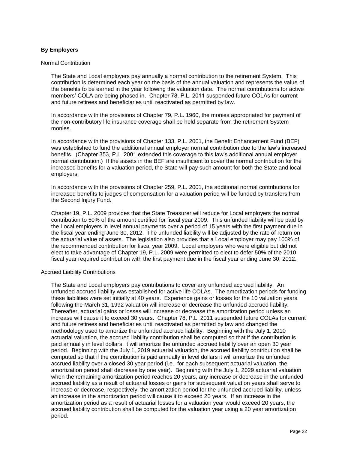#### **By Employers**

#### Normal Contribution

The State and Local employers pay annually a normal contribution to the retirement System. This contribution is determined each year on the basis of the annual valuation and represents the value of the benefits to be earned in the year following the valuation date. The normal contributions for active members' COLA are being phased in. Chapter 78, P.L. 2011 suspended future COLAs for current and future retirees and beneficiaries until reactivated as permitted by law.

In accordance with the provisions of Chapter 79, P.L. 1960, the monies appropriated for payment of the non-contributory life insurance coverage shall be held separate from the retirement System monies.

In accordance with the provisions of Chapter 133, P.L. 2001, the Benefit Enhancement Fund (BEF) was established to fund the additional annual employer normal contribution due to the law's increased benefits. (Chapter 353, P.L. 2001 extended this coverage to this law's additional annual employer normal contribution.) If the assets in the BEF are insufficient to cover the normal contribution for the increased benefits for a valuation period, the State will pay such amount for both the State and local employers.

In accordance with the provisions of Chapter 259, P.L. 2001, the additional normal contributions for increased benefits to judges of compensation for a valuation period will be funded by transfers from the Second Injury Fund.

Chapter 19, P.L. 2009 provides that the State Treasurer will reduce for Local employers the normal contribution to 50% of the amount certified for fiscal year 2009. This unfunded liability will be paid by the Local employers in level annual payments over a period of 15 years with the first payment due in the fiscal year ending June 30, 2012. The unfunded liability will be adjusted by the rate of return on the actuarial value of assets. The legislation also provides that a Local employer may pay 100% of the recommended contribution for fiscal year 2009. Local employers who were eligible but did not elect to take advantage of Chapter 19, P.L. 2009 were permitted to elect to defer 50% of the 2010 fiscal year required contribution with the first payment due in the fiscal year ending June 30, 2012.

#### Accrued Liability Contributions

The State and Local employers pay contributions to cover any unfunded accrued liability. An unfunded accrued liability was established for active life COLAs. The amortization periods for funding these liabilities were set initially at 40 years. Experience gains or losses for the 10 valuation years following the March 31, 1992 valuation will increase or decrease the unfunded accrued liability. Thereafter, actuarial gains or losses will increase or decrease the amortization period unless an increase will cause it to exceed 30 years. Chapter 78, P.L. 2011 suspended future COLAs for current and future retirees and beneficiaries until reactivated as permitted by law and changed the methodology used to amortize the unfunded accrued liability. Beginning with the July 1, 2010 actuarial valuation, the accrued liability contribution shall be computed so that if the contribution is paid annually in level dollars, it will amortize the unfunded accrued liability over an open 30 year period. Beginning with the July 1, 2019 actuarial valuation, the accrued liability contribution shall be computed so that if the contribution is paid annually in level dollars it will amortize the unfunded accrued liability over a closed 30 year period (i.e., for each subsequent actuarial valuation, the amortization period shall decrease by one year). Beginning with the July 1, 2029 actuarial valuation when the remaining amortization period reaches 20 years, any increase or decrease in the unfunded accrued liability as a result of actuarial losses or gains for subsequent valuation years shall serve to increase or decrease, respectively, the amortization period for the unfunded accrued liability, unless an increase in the amortization period will cause it to exceed 20 years. If an increase in the amortization period as a result of actuarial losses for a valuation year would exceed 20 years, the accrued liability contribution shall be computed for the valuation year using a 20 year amortization period.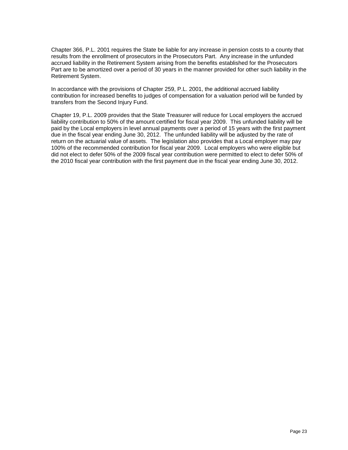Chapter 366, P.L. 2001 requires the State be liable for any increase in pension costs to a county that results from the enrollment of prosecutors in the Prosecutors Part. Any increase in the unfunded accrued liability in the Retirement System arising from the benefits established for the Prosecutors Part are to be amortized over a period of 30 years in the manner provided for other such liability in the Retirement System.

In accordance with the provisions of Chapter 259, P.L. 2001, the additional accrued liability contribution for increased benefits to judges of compensation for a valuation period will be funded by transfers from the Second Injury Fund.

Chapter 19, P.L. 2009 provides that the State Treasurer will reduce for Local employers the accrued liability contribution to 50% of the amount certified for fiscal year 2009. This unfunded liability will be paid by the Local employers in level annual payments over a period of 15 years with the first payment due in the fiscal year ending June 30, 2012. The unfunded liability will be adjusted by the rate of return on the actuarial value of assets. The legislation also provides that a Local employer may pay 100% of the recommended contribution for fiscal year 2009. Local employers who were eligible but did not elect to defer 50% of the 2009 fiscal year contribution were permitted to elect to defer 50% of the 2010 fiscal year contribution with the first payment due in the fiscal year ending June 30, 2012.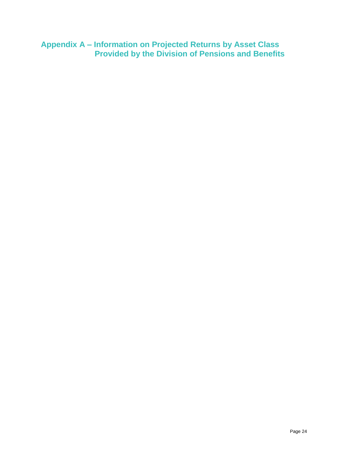**Appendix A – Information on Projected Returns by Asset Class Provided by the Division of Pensions and Benefits**